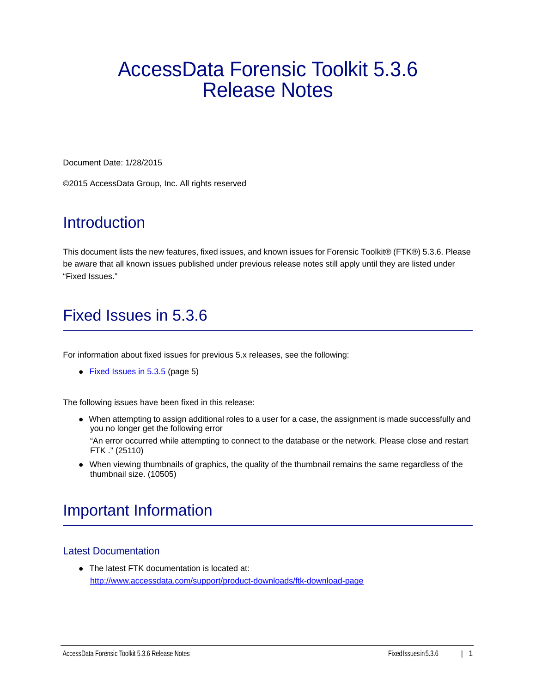# AccessData Forensic Toolkit 5.3.6 Release Notes

Document Date: 1/28/2015

©2015 AccessData Group, Inc. All rights reserved

# **Introduction**

This document lists the new features, fixed issues, and known issues for Forensic Toolkit® (FTK®) 5.3.6. Please be aware that all known issues published under previous release notes still apply until they are listed under "Fixed Issues."

# Fixed Issues in 5.3.6

For information about fixed issues for previous 5.x releases, see the following:

• [Fixed Issues in 5.3.5 \(page 5\)](#page-4-0)

The following issues have been fixed in this release:

When attempting to assign additional roles to a user for a case, the assignment is made successfully and you no longer get the following error

"An error occurred while attempting to connect to the database or the network. Please close and restart FTK ." (25110)

When viewing thumbnails of graphics, the quality of the thumbnail remains the same regardless of the thumbnail size. (10505)

## Important Information

### Latest Documentation

The latest FTK documentation is located at: http://www.accessdata.com/support/product-downloads/ftk-download-page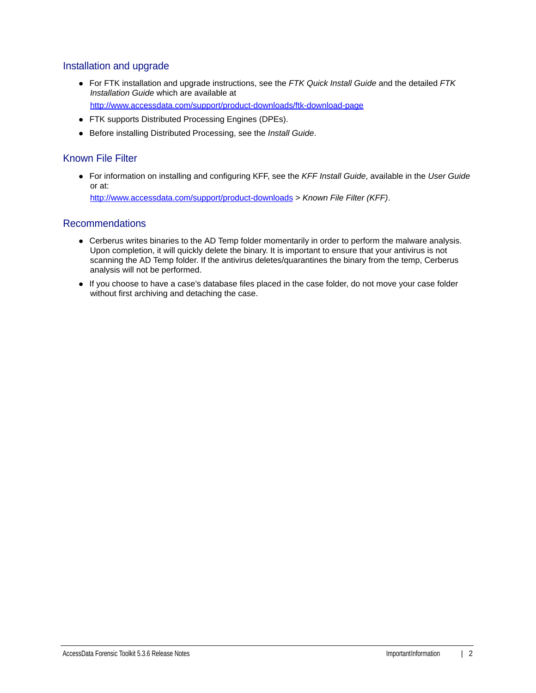### Installation and upgrade

- For FTK installation and upgrade instructions, see the *FTK Quick Install Guide* and the detailed *FTK Installation Guide* which are available at http://www.accessdata.com/support/product-downloads/ftk-download-page
- FTK supports Distributed Processing Engines (DPEs).
- Before installing Distributed Processing, see the *Install Guide*.

### Known File Filter

For information on installing and configuring KFF, see the *KFF Install Guide*, available in the *User Guide* or at: <http://www.accessdata.com/support/product-downloads>> *Known File Filter (KFF)*.

### Recommendations

- Cerberus writes binaries to the AD Temp folder momentarily in order to perform the malware analysis. Upon completion, it will quickly delete the binary. It is important to ensure that your antivirus is not scanning the AD Temp folder. If the antivirus deletes/quarantines the binary from the temp, Cerberus analysis will not be performed.
- If you choose to have a case's database files placed in the case folder, do not move your case folder without first archiving and detaching the case.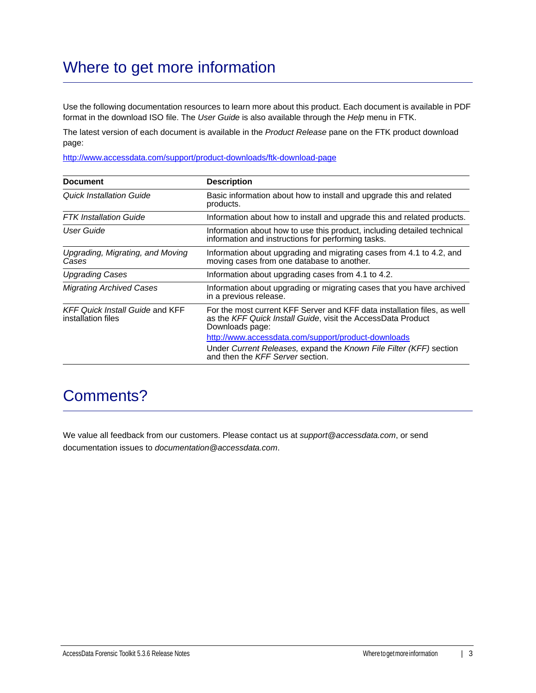# Where to get more information

Use the following documentation resources to learn more about this product. Each document is available in PDF format in the download ISO file. The *User Guide* is also available through the *Help* menu in FTK.

The latest version of each document is available in the *Product Release* pane on the FTK product download page:

http://www.accessdata.com/support/product-downloads/ftk-download-page

| <b>Document</b>                                              | <b>Description</b>                                                                                                                                          |
|--------------------------------------------------------------|-------------------------------------------------------------------------------------------------------------------------------------------------------------|
| Quick Installation Guide                                     | Basic information about how to install and upgrade this and related<br>products.                                                                            |
| <b>FTK</b> Installation Guide                                | Information about how to install and upgrade this and related products.                                                                                     |
| User Guide                                                   | Information about how to use this product, including detailed technical<br>information and instructions for performing tasks.                               |
| Upgrading, Migrating, and Moving<br>Cases                    | Information about upgrading and migrating cases from 4.1 to 4.2, and<br>moving cases from one database to another.                                          |
| <b>Upgrading Cases</b>                                       | Information about upgrading cases from 4.1 to 4.2.                                                                                                          |
| <b>Migrating Archived Cases</b>                              | Information about upgrading or migrating cases that you have archived<br>in a previous release.                                                             |
| <b>KFF Quick Install Guide and KFF</b><br>installation files | For the most current KFF Server and KFF data installation files, as well<br>as the KFF Quick Install Guide, visit the AccessData Product<br>Downloads page: |
|                                                              | http://www.accessdata.com/support/product-downloads                                                                                                         |
|                                                              | Under Current Releases, expand the Known File Filter (KFF) section<br>and then the KFF Server section.                                                      |

## Comments?

We value all feedback from our customers. Please contact us at *support@accessdata.com*, or send documentation issues to *documentation@accessdata.com*.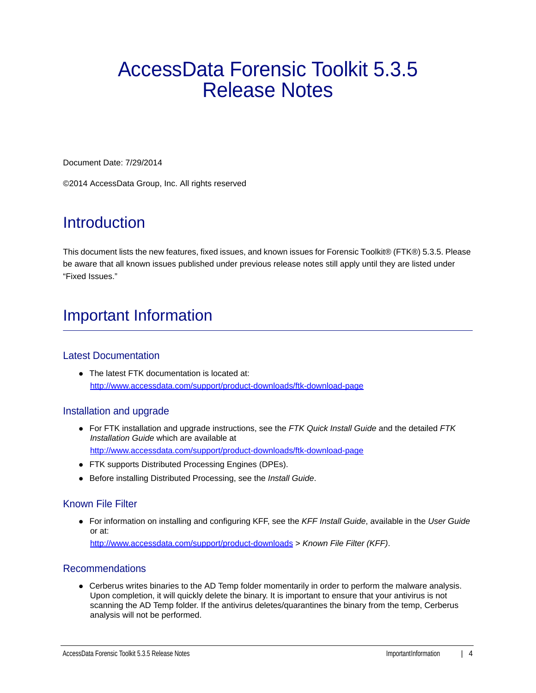# AccessData Forensic Toolkit 5.3.5 Release Notes

Document Date: 7/29/2014

©2014 AccessData Group, Inc. All rights reserved

# **Introduction**

This document lists the new features, fixed issues, and known issues for Forensic Toolkit® (FTK®) 5.3.5. Please be aware that all known issues published under previous release notes still apply until they are listed under "Fixed Issues."

# Important Information

### Latest Documentation

• The latest FTK documentation is located at: http://www.accessdata.com/support/product-downloads/ftk-download-page

### Installation and upgrade

- For FTK installation and upgrade instructions, see the *FTK Quick Install Guide* and the detailed *FTK Installation Guide* which are available at http://www.accessdata.com/support/product-downloads/ftk-download-page
- FTK supports Distributed Processing Engines (DPEs).
- Before installing Distributed Processing, see the *Install Guide*.

#### Known File Filter

For information on installing and configuring KFF, see the *KFF Install Guide*, available in the *User Guide* or at: <http://www.accessdata.com/support/product-downloads>> *Known File Filter (KFF)*.

#### Recommendations

Cerberus writes binaries to the AD Temp folder momentarily in order to perform the malware analysis. Upon completion, it will quickly delete the binary. It is important to ensure that your antivirus is not scanning the AD Temp folder. If the antivirus deletes/quarantines the binary from the temp, Cerberus analysis will not be performed.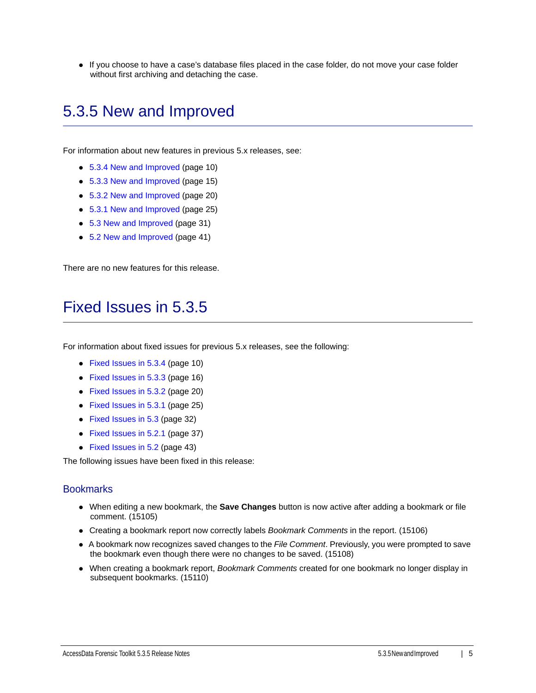If you choose to have a case's database files placed in the case folder, do not move your case folder without first archiving and detaching the case.

## 5.3.5 New and Improved

For information about new features in previous 5.x releases, see:

- [5.3.4 New and Improved \(page 10\)](#page-9-0)
- [5.3.3 New and Improved \(page 15\)](#page-14-0)
- [5.3.2 New and Improved \(page 20\)](#page-19-0)
- [5.3.1 New and Improved \(page 25\)](#page-24-0)
- [5.3 New and Improved \(page 31\)](#page-30-0)
- [5.2 New and Improved \(page 41\)](#page-40-0)

There are no new features for this release.

### <span id="page-4-0"></span>Fixed Issues in 5.3.5

For information about fixed issues for previous 5.x releases, see the following:

- [Fixed Issues in 5.3.4 \(page 10\)](#page-9-1)
- [Fixed Issues in 5.3.3 \(page 16\)](#page-15-0)
- [Fixed Issues in 5.3.2 \(page 20\)](#page-19-1)
- [Fixed Issues in 5.3.1 \(page 25\)](#page-24-1)
- [Fixed Issues in 5.3 \(page 32\)](#page-31-0)
- [Fixed Issues in 5.2.1 \(page 37\)](#page-36-0)
- [Fixed Issues in 5.2 \(page 43\)](#page-42-0)

The following issues have been fixed in this release:

#### **Bookmarks**

- When editing a new bookmark, the **Save Changes** button is now active after adding a bookmark or file comment. (15105)
- Creating a bookmark report now correctly labels *Bookmark Comments* in the report. (15106)
- A bookmark now recognizes saved changes to the *File Comment*. Previously, you were prompted to save the bookmark even though there were no changes to be saved. (15108)
- When creating a bookmark report, *Bookmark Comments* created for one bookmark no longer display in subsequent bookmarks. (15110)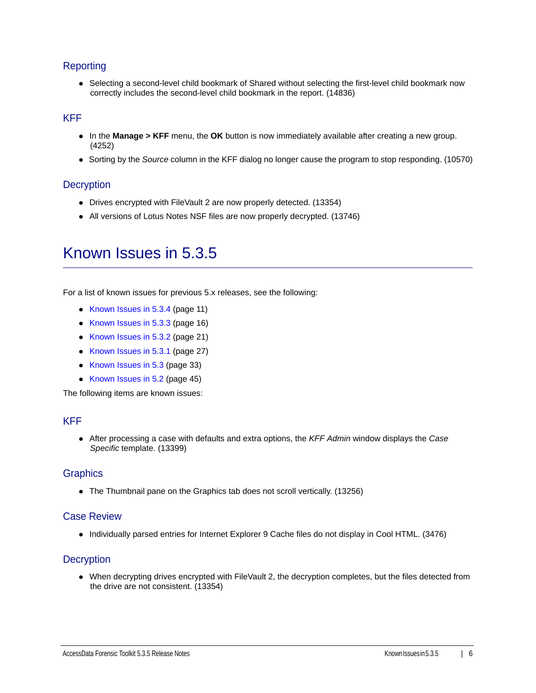### Reporting

• Selecting a second-level child bookmark of Shared without selecting the first-level child bookmark now correctly includes the second-level child bookmark in the report. (14836)

### KFF

- In the **Manage > KFF** menu, the **OK** button is now immediately available after creating a new group. (4252)
- Sorting by the *Source* column in the KFF dialog no longer cause the program to stop responding. (10570)

#### **Decryption**

- Drives encrypted with FileVault 2 are now properly detected. (13354)
- All versions of Lotus Notes NSF files are now properly decrypted. (13746)

### Known Issues in 5.3.5

For a list of known issues for previous 5.x releases, see the following:

- [Known Issues in 5.3.4 \(page 11\)](#page-10-0)
- [Known Issues in 5.3.3 \(page 16\)](#page-15-1)
- [Known Issues in 5.3.2 \(page 21\)](#page-20-0)
- [Known Issues in 5.3.1 \(page 27\)](#page-26-0)
- [Known Issues in 5.3 \(page 33\)](#page-32-0)
- [Known Issues in 5.2 \(page 45\)](#page-44-0)

The following items are known issues:

#### KFF

After processing a case with defaults and extra options, the *KFF Admin* window displays the *Case Specific* template. (13399)

#### **Graphics**

The Thumbnail pane on the Graphics tab does not scroll vertically. (13256)

#### Case Review

Individually parsed entries for Internet Explorer 9 Cache files do not display in Cool HTML. (3476)

#### **Decryption**

When decrypting drives encrypted with FileVault 2, the decryption completes, but the files detected from the drive are not consistent. (13354)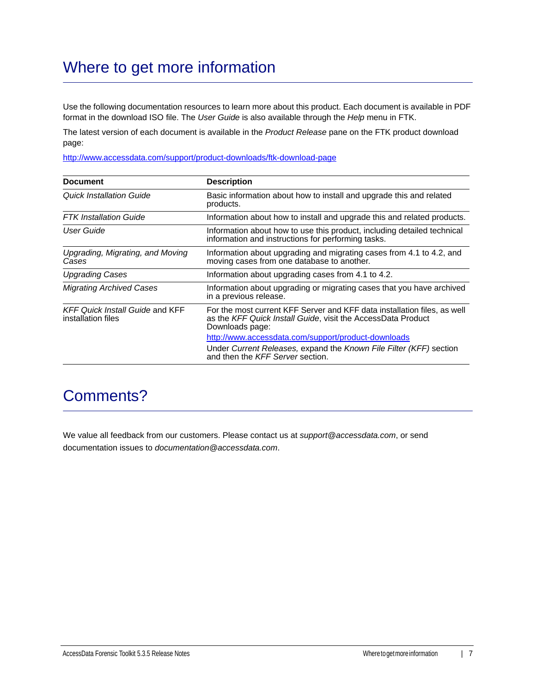# Where to get more information

Use the following documentation resources to learn more about this product. Each document is available in PDF format in the download ISO file. The *User Guide* is also available through the *Help* menu in FTK.

The latest version of each document is available in the *Product Release* pane on the FTK product download page:

http://www.accessdata.com/support/product-downloads/ftk-download-page

| <b>Document</b>                                              | <b>Description</b>                                                                                                                                          |
|--------------------------------------------------------------|-------------------------------------------------------------------------------------------------------------------------------------------------------------|
| Quick Installation Guide                                     | Basic information about how to install and upgrade this and related<br>products.                                                                            |
| <b>FTK</b> Installation Guide                                | Information about how to install and upgrade this and related products.                                                                                     |
| User Guide                                                   | Information about how to use this product, including detailed technical<br>information and instructions for performing tasks.                               |
| Upgrading, Migrating, and Moving<br>Cases                    | Information about upgrading and migrating cases from 4.1 to 4.2, and<br>moving cases from one database to another.                                          |
| <b>Upgrading Cases</b>                                       | Information about upgrading cases from 4.1 to 4.2.                                                                                                          |
| <b>Migrating Archived Cases</b>                              | Information about upgrading or migrating cases that you have archived<br>in a previous release.                                                             |
| <b>KFF Quick Install Guide and KFF</b><br>installation files | For the most current KFF Server and KFF data installation files, as well<br>as the KFF Quick Install Guide, visit the AccessData Product<br>Downloads page: |
|                                                              | http://www.accessdata.com/support/product-downloads                                                                                                         |
|                                                              | Under Current Releases, expand the Known File Filter (KFF) section<br>and then the KFF Server section.                                                      |

## Comments?

We value all feedback from our customers. Please contact us at *support@accessdata.com*, or send documentation issues to *documentation@accessdata.com*.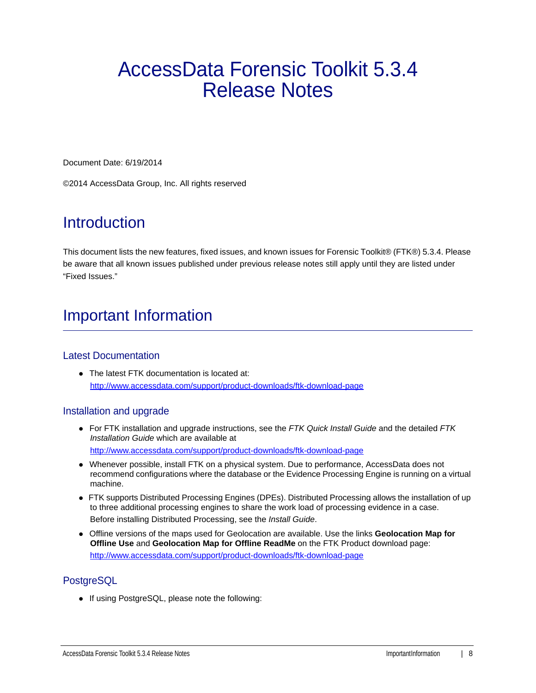# AccessData Forensic Toolkit 5.3.4 Release Notes

Document Date: 6/19/2014

©2014 AccessData Group, Inc. All rights reserved

# **Introduction**

This document lists the new features, fixed issues, and known issues for Forensic Toolkit® (FTK®) 5.3.4. Please be aware that all known issues published under previous release notes still apply until they are listed under "Fixed Issues."

# Important Information

### Latest Documentation

• The latest FTK documentation is located at: http://www.accessdata.com/support/product-downloads/ftk-download-page

### Installation and upgrade

- For FTK installation and upgrade instructions, see the *FTK Quick Install Guide* and the detailed *FTK Installation Guide* which are available at http://www.accessdata.com/support/product-downloads/ftk-download-page
- Whenever possible, install FTK on a physical system. Due to performance, AccessData does not recommend configurations where the database or the Evidence Processing Engine is running on a virtual machine.
- FTK supports Distributed Processing Engines (DPEs). Distributed Processing allows the installation of up to three additional processing engines to share the work load of processing evidence in a case. Before installing Distributed Processing, see the *Install Guide*.
- Offline versions of the maps used for Geolocation are available. Use the links **Geolocation Map for Offline Use** and **Geolocation Map for Offline ReadMe** on the FTK Product download page: http://www.accessdata.com/support/product-downloads/ftk-download-page

### **PostgreSQL**

• If using PostgreSQL, please note the following: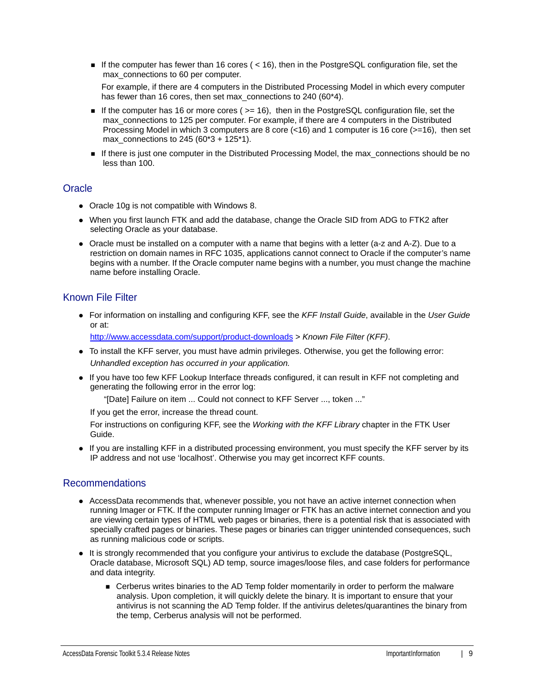If the computer has fewer than 16 cores ( $<$  16), then in the PostgreSQL configuration file, set the max connections to 60 per computer.

For example, if there are 4 computers in the Distributed Processing Model in which every computer has fewer than 16 cores, then set max\_connections to 240 (60\*4).

- If the computer has 16 or more cores ( $>= 16$ ), then in the PostgreSQL configuration file, set the max connections to 125 per computer. For example, if there are 4 computers in the Distributed Processing Model in which 3 computers are 8 core (<16) and 1 computer is 16 core (>=16), then set max connections to 245 (60\*3 + 125\*1).
- If there is just one computer in the Distributed Processing Model, the max\_connections should be no less than 100.

### **Oracle**

- Oracle 10g is not compatible with Windows 8.
- When you first launch FTK and add the database, change the Oracle SID from ADG to FTK2 after selecting Oracle as your database.
- Oracle must be installed on a computer with a name that begins with a letter (a-z and A-Z). Due to a restriction on domain names in RFC 1035, applications cannot connect to Oracle if the computer's name begins with a number. If the Oracle computer name begins with a number, you must change the machine name before installing Oracle.

### Known File Filter

For information on installing and configuring KFF, see the *KFF Install Guide*, available in the *User Guide* or at:

<http://www.accessdata.com/support/product-downloads>> *Known File Filter (KFF)*.

- To install the KFF server, you must have admin privileges. Otherwise, you get the following error: *Unhandled exception has occurred in your application.*
- If you have too few KFF Lookup Interface threads configured, it can result in KFF not completing and generating the following error in the error log:

"[Date] Failure on item ... Could not connect to KFF Server ..., token ..."

If you get the error, increase the thread count.

For instructions on configuring KFF, see the *Working with the KFF Library* chapter in the FTK User Guide.

If you are installing KFF in a distributed processing environment, you must specify the KFF server by its IP address and not use 'localhost'. Otherwise you may get incorrect KFF counts.

### Recommendations

- AccessData recommends that, whenever possible, you not have an active internet connection when running Imager or FTK. If the computer running Imager or FTK has an active internet connection and you are viewing certain types of HTML web pages or binaries, there is a potential risk that is associated with specially crafted pages or binaries. These pages or binaries can trigger unintended consequences, such as running malicious code or scripts.
- It is strongly recommended that you configure your antivirus to exclude the database (PostgreSQL, Oracle database, Microsoft SQL) AD temp, source images/loose files, and case folders for performance and data integrity.
	- Cerberus writes binaries to the AD Temp folder momentarily in order to perform the malware analysis. Upon completion, it will quickly delete the binary. It is important to ensure that your antivirus is not scanning the AD Temp folder. If the antivirus deletes/quarantines the binary from the temp, Cerberus analysis will not be performed.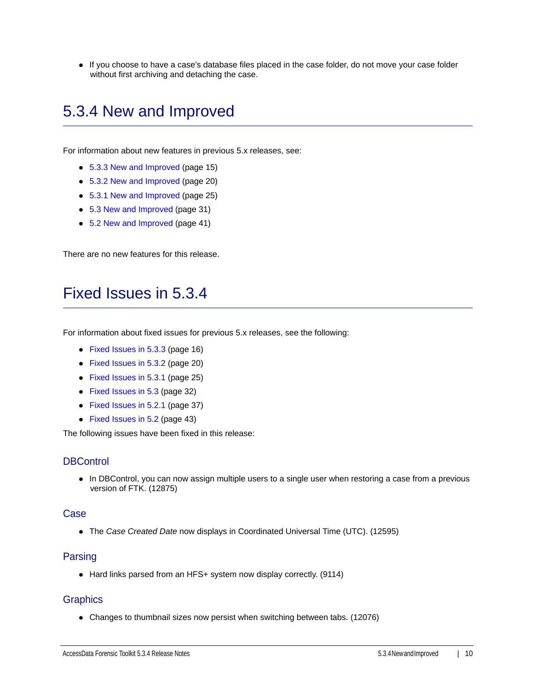If you choose to have a case's database files placed in the case folder, do not move your case folder without first archiving and detaching the case.

# <span id="page-9-0"></span>5.3.4 New and Improved

For information about new features in previous 5.x releases, see:

- [5.3.3 New and Improved \(page 15\)](#page-14-0)
- [5.3.2 New and Improved \(page 20\)](#page-19-0)
- [5.3.1 New and Improved \(page 25\)](#page-24-0)
- [5.3 New and Improved \(page 31\)](#page-30-0)
- [5.2 New and Improved \(page 41\)](#page-40-0)

There are no new features for this release.

### <span id="page-9-1"></span>Fixed Issues in 5.3.4

For information about fixed issues for previous 5.x releases, see the following:

- [Fixed Issues in 5.3.3 \(page 16\)](#page-15-0)
- [Fixed Issues in 5.3.2 \(page 20\)](#page-19-1)
- [Fixed Issues in 5.3.1 \(page 25\)](#page-24-1)
- [Fixed Issues in 5.3 \(page 32\)](#page-31-0)
- [Fixed Issues in 5.2.1 \(page 37\)](#page-36-0)
- [Fixed Issues in 5.2 \(page 43\)](#page-42-0)

The following issues have been fixed in this release:

### **DBControl**

• In DBControl, you can now assign multiple users to a single user when restoring a case from a previous version of FTK. (12875)

#### Case

The *Case Created Date* now displays in Coordinated Universal Time (UTC). (12595)

#### Parsing

• Hard links parsed from an HFS+ system now display correctly. (9114)

#### **Graphics**

Changes to thumbnail sizes now persist when switching between tabs. (12076)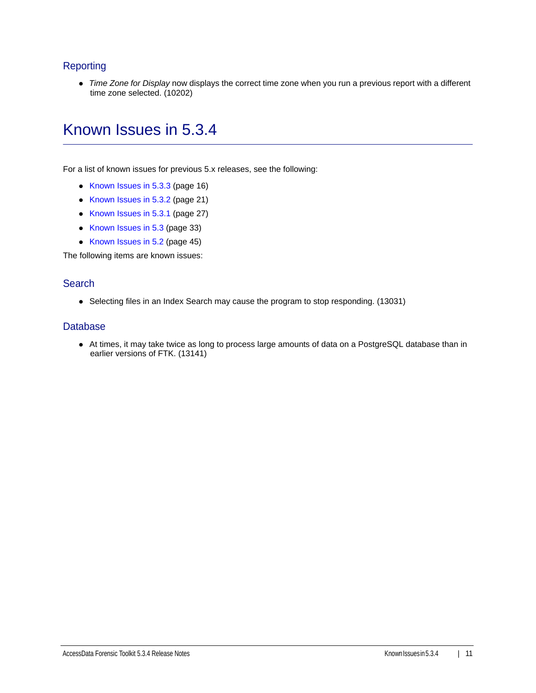### **Reporting**

*Time Zone for Display* now displays the correct time zone when you run a previous report with a different time zone selected. (10202)

### <span id="page-10-0"></span>Known Issues in 5.3.4

For a list of known issues for previous 5.x releases, see the following:

- [Known Issues in 5.3.3 \(page 16\)](#page-15-1)
- [Known Issues in 5.3.2 \(page 21\)](#page-20-0)
- [Known Issues in 5.3.1 \(page 27\)](#page-26-0)
- [Known Issues in 5.3 \(page 33\)](#page-32-0)
- [Known Issues in 5.2 \(page 45\)](#page-44-0)

The following items are known issues:

#### **Search**

• Selecting files in an Index Search may cause the program to stop responding. (13031)

#### Database

At times, it may take twice as long to process large amounts of data on a PostgreSQL database than in earlier versions of FTK. (13141)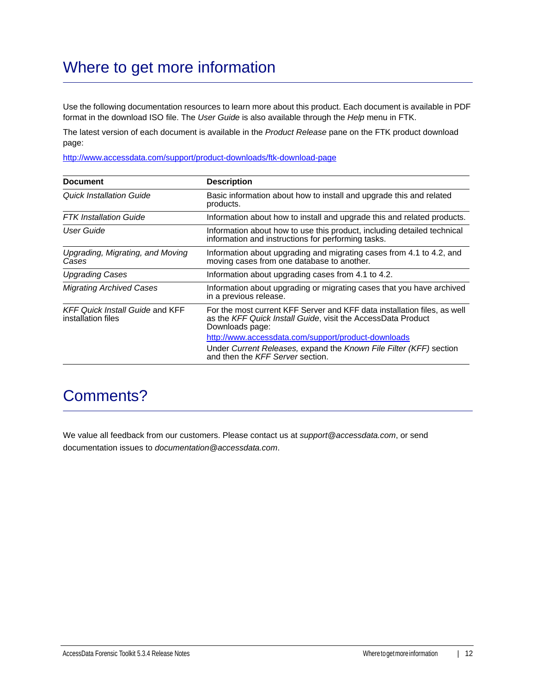# Where to get more information

Use the following documentation resources to learn more about this product. Each document is available in PDF format in the download ISO file. The *User Guide* is also available through the *Help* menu in FTK.

The latest version of each document is available in the *Product Release* pane on the FTK product download page:

http://www.accessdata.com/support/product-downloads/ftk-download-page

| <b>Document</b>                                              | <b>Description</b>                                                                                                                                          |
|--------------------------------------------------------------|-------------------------------------------------------------------------------------------------------------------------------------------------------------|
| Quick Installation Guide                                     | Basic information about how to install and upgrade this and related<br>products.                                                                            |
| <b>FTK</b> Installation Guide                                | Information about how to install and upgrade this and related products.                                                                                     |
| User Guide                                                   | Information about how to use this product, including detailed technical<br>information and instructions for performing tasks.                               |
| Upgrading, Migrating, and Moving<br>Cases                    | Information about upgrading and migrating cases from 4.1 to 4.2, and<br>moving cases from one database to another.                                          |
| <b>Upgrading Cases</b>                                       | Information about upgrading cases from 4.1 to 4.2.                                                                                                          |
| <b>Migrating Archived Cases</b>                              | Information about upgrading or migrating cases that you have archived<br>in a previous release.                                                             |
| <b>KFF Quick Install Guide and KFF</b><br>installation files | For the most current KFF Server and KFF data installation files, as well<br>as the KFF Quick Install Guide, visit the AccessData Product<br>Downloads page: |
|                                                              | http://www.accessdata.com/support/product-downloads                                                                                                         |
|                                                              | Under Current Releases, expand the Known File Filter (KFF) section<br>and then the KFF Server section.                                                      |

## Comments?

We value all feedback from our customers. Please contact us at *support@accessdata.com*, or send documentation issues to *documentation@accessdata.com*.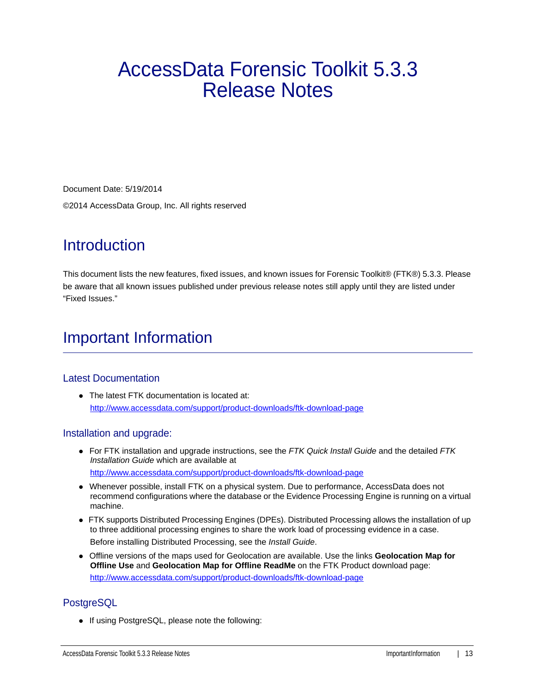# AccessData Forensic Toolkit 5.3.3 Release Notes

Document Date: 5/19/2014 ©2014 AccessData Group, Inc. All rights reserved

# **Introduction**

This document lists the new features, fixed issues, and known issues for Forensic Toolkit® (FTK®) 5.3.3. Please be aware that all known issues published under previous release notes still apply until they are listed under "Fixed Issues."

# Important Information

### Latest Documentation

• The latest FTK documentation is located at: http://www.accessdata.com/support/product-downloads/ftk-download-page

### Installation and upgrade:

- For FTK installation and upgrade instructions, see the *FTK Quick Install Guide* and the detailed *FTK Installation Guide* which are available at http://www.accessdata.com/support/product-downloads/ftk-download-page
- Whenever possible, install FTK on a physical system. Due to performance, AccessData does not recommend configurations where the database or the Evidence Processing Engine is running on a virtual machine.
- FTK supports Distributed Processing Engines (DPEs). Distributed Processing allows the installation of up to three additional processing engines to share the work load of processing evidence in a case. Before installing Distributed Processing, see the *Install Guide*.
- Offline versions of the maps used for Geolocation are available. Use the links **Geolocation Map for Offline Use** and **Geolocation Map for Offline ReadMe** on the FTK Product download page: http://www.accessdata.com/support/product-downloads/ftk-download-page

### **PostgreSQL**

• If using PostgreSQL, please note the following: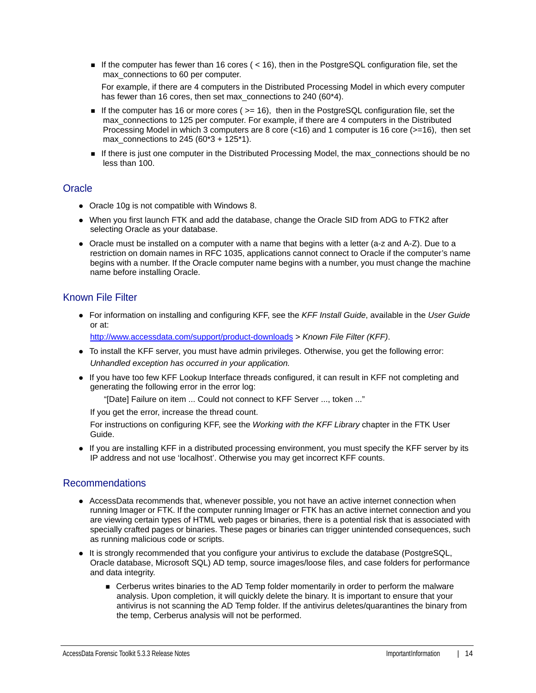If the computer has fewer than 16 cores ( $<$  16), then in the PostgreSQL configuration file, set the max connections to 60 per computer.

For example, if there are 4 computers in the Distributed Processing Model in which every computer has fewer than 16 cores, then set max\_connections to 240 (60\*4).

- If the computer has 16 or more cores ( $>= 16$ ), then in the PostgreSQL configuration file, set the max connections to 125 per computer. For example, if there are 4 computers in the Distributed Processing Model in which 3 computers are 8 core (<16) and 1 computer is 16 core (>=16), then set max connections to 245 (60\*3 + 125\*1).
- If there is just one computer in the Distributed Processing Model, the max\_connections should be no less than 100.

### **Oracle**

- Oracle 10g is not compatible with Windows 8.
- When you first launch FTK and add the database, change the Oracle SID from ADG to FTK2 after selecting Oracle as your database.
- Oracle must be installed on a computer with a name that begins with a letter (a-z and A-Z). Due to a restriction on domain names in RFC 1035, applications cannot connect to Oracle if the computer's name begins with a number. If the Oracle computer name begins with a number, you must change the machine name before installing Oracle.

### Known File Filter

For information on installing and configuring KFF, see the *KFF Install Guide*, available in the *User Guide* or at:

<http://www.accessdata.com/support/product-downloads>> *Known File Filter (KFF)*.

- To install the KFF server, you must have admin privileges. Otherwise, you get the following error: *Unhandled exception has occurred in your application.*
- If you have too few KFF Lookup Interface threads configured, it can result in KFF not completing and generating the following error in the error log:

"[Date] Failure on item ... Could not connect to KFF Server ..., token ..."

If you get the error, increase the thread count.

For instructions on configuring KFF, see the *Working with the KFF Library* chapter in the FTK User Guide.

If you are installing KFF in a distributed processing environment, you must specify the KFF server by its IP address and not use 'localhost'. Otherwise you may get incorrect KFF counts.

### Recommendations

- AccessData recommends that, whenever possible, you not have an active internet connection when running Imager or FTK. If the computer running Imager or FTK has an active internet connection and you are viewing certain types of HTML web pages or binaries, there is a potential risk that is associated with specially crafted pages or binaries. These pages or binaries can trigger unintended consequences, such as running malicious code or scripts.
- It is strongly recommended that you configure your antivirus to exclude the database (PostgreSQL, Oracle database, Microsoft SQL) AD temp, source images/loose files, and case folders for performance and data integrity.
	- Cerberus writes binaries to the AD Temp folder momentarily in order to perform the malware analysis. Upon completion, it will quickly delete the binary. It is important to ensure that your antivirus is not scanning the AD Temp folder. If the antivirus deletes/quarantines the binary from the temp, Cerberus analysis will not be performed.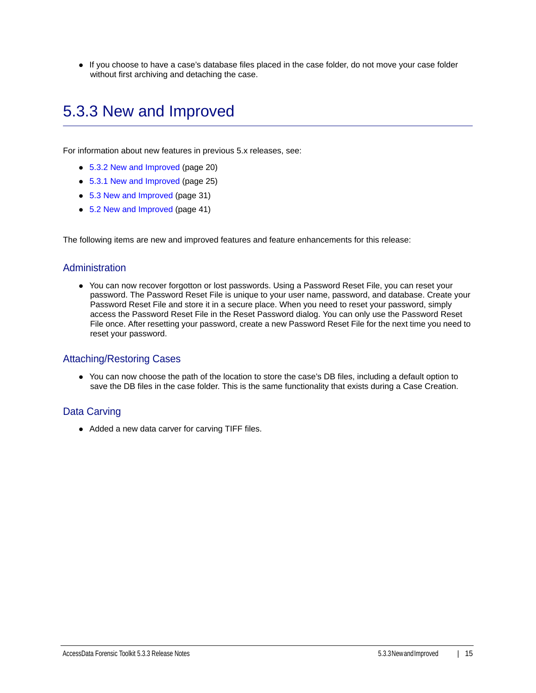If you choose to have a case's database files placed in the case folder, do not move your case folder without first archiving and detaching the case.

# <span id="page-14-0"></span>5.3.3 New and Improved

For information about new features in previous 5.x releases, see:

- [5.3.2 New and Improved \(page 20\)](#page-19-0)
- [5.3.1 New and Improved \(page 25\)](#page-24-0)
- [5.3 New and Improved \(page 31\)](#page-30-0)
- [5.2 New and Improved \(page 41\)](#page-40-0)

The following items are new and improved features and feature enhancements for this release:

#### Administration

You can now recover forgotton or lost passwords. Using a Password Reset File, you can reset your password. The Password Reset File is unique to your user name, password, and database. Create your Password Reset File and store it in a secure place. When you need to reset your password, simply access the Password Reset File in the Reset Password dialog. You can only use the Password Reset File once. After resetting your password, create a new Password Reset File for the next time you need to reset your password.

#### Attaching/Restoring Cases

You can now choose the path of the location to store the case's DB files, including a default option to save the DB files in the case folder. This is the same functionality that exists during a Case Creation.

#### Data Carving

• Added a new data carver for carving TIFF files.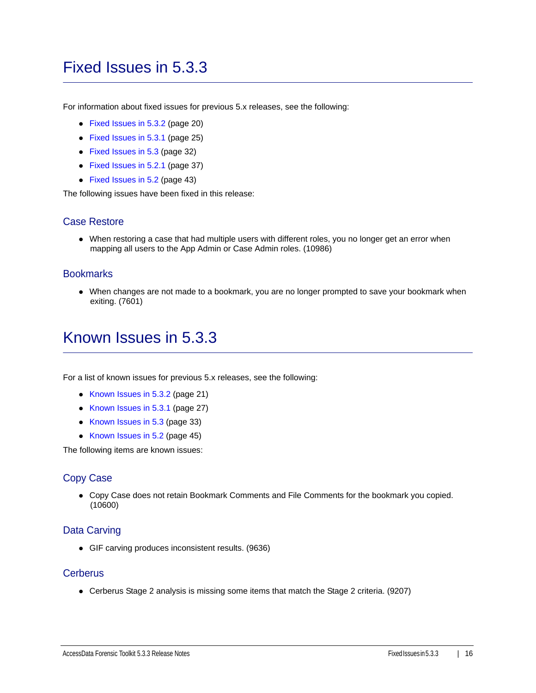## <span id="page-15-0"></span>Fixed Issues in 5.3.3

For information about fixed issues for previous 5.x releases, see the following:

- [Fixed Issues in 5.3.2 \(page 20\)](#page-19-1)
- [Fixed Issues in 5.3.1 \(page 25\)](#page-24-1)
- [Fixed Issues in 5.3 \(page 32\)](#page-31-0)
- [Fixed Issues in 5.2.1 \(page 37\)](#page-36-0)
- [Fixed Issues in 5.2 \(page 43\)](#page-42-0)

The following issues have been fixed in this release:

### Case Restore

When restoring a case that had multiple users with different roles, you no longer get an error when mapping all users to the App Admin or Case Admin roles. (10986)

#### **Bookmarks**

When changes are not made to a bookmark, you are no longer prompted to save your bookmark when exiting. (7601)

### <span id="page-15-1"></span>Known Issues in 5.3.3

For a list of known issues for previous 5.x releases, see the following:

- [Known Issues in 5.3.2 \(page 21\)](#page-20-0)
- [Known Issues in 5.3.1 \(page 27\)](#page-26-0)
- [Known Issues in 5.3 \(page 33\)](#page-32-0)
- [Known Issues in 5.2 \(page 45\)](#page-44-0)

The following items are known issues:

### Copy Case

Copy Case does not retain Bookmark Comments and File Comments for the bookmark you copied. (10600)

### Data Carving

GIF carving produces inconsistent results. (9636)

#### **Cerberus**

Cerberus Stage 2 analysis is missing some items that match the Stage 2 criteria. (9207)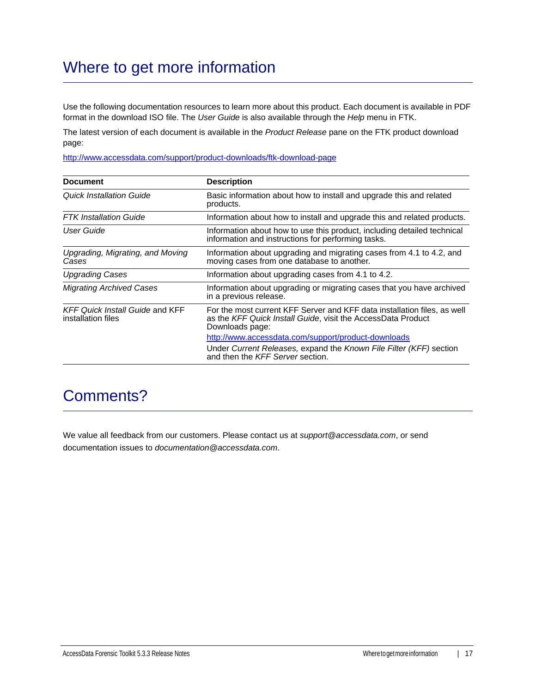# Where to get more information

Use the following documentation resources to learn more about this product. Each document is available in PDF format in the download ISO file. The *User Guide* is also available through the *Help* menu in FTK.

The latest version of each document is available in the *Product Release* pane on the FTK product download page:

http://www.accessdata.com/support/product-downloads/ftk-download-page

| <b>Document</b>                                              | <b>Description</b>                                                                                                                                          |
|--------------------------------------------------------------|-------------------------------------------------------------------------------------------------------------------------------------------------------------|
| Quick Installation Guide                                     | Basic information about how to install and upgrade this and related<br>products.                                                                            |
| <b>FTK</b> Installation Guide                                | Information about how to install and upgrade this and related products.                                                                                     |
| User Guide                                                   | Information about how to use this product, including detailed technical<br>information and instructions for performing tasks.                               |
| Upgrading, Migrating, and Moving<br>Cases                    | Information about upgrading and migrating cases from 4.1 to 4.2, and<br>moving cases from one database to another.                                          |
| <b>Upgrading Cases</b>                                       | Information about upgrading cases from 4.1 to 4.2.                                                                                                          |
| <b>Migrating Archived Cases</b>                              | Information about upgrading or migrating cases that you have archived<br>in a previous release.                                                             |
| <b>KFF Quick Install Guide and KFF</b><br>installation files | For the most current KFF Server and KFF data installation files, as well<br>as the KFF Quick Install Guide, visit the AccessData Product<br>Downloads page: |
|                                                              | http://www.accessdata.com/support/product-downloads                                                                                                         |
|                                                              | Under Current Releases, expand the Known File Filter (KFF) section<br>and then the KFF Server section.                                                      |

### Comments?

We value all feedback from our customers. Please contact us at *support@accessdata.com*, or send documentation issues to *documentation@accessdata.com*.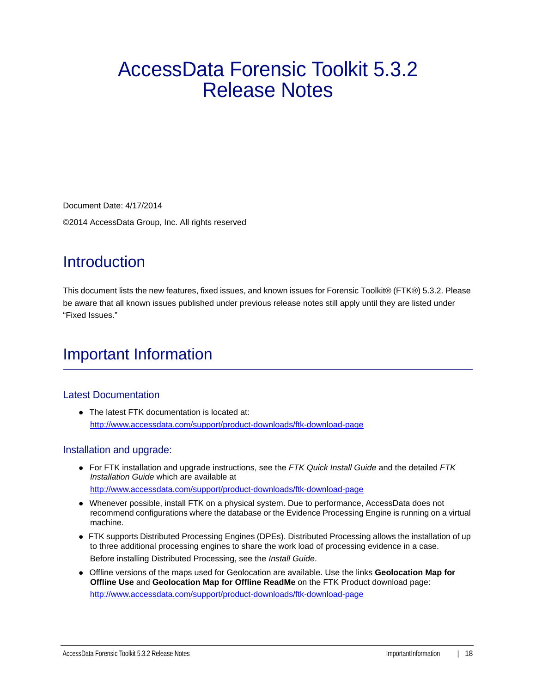# AccessData Forensic Toolkit 5.3.2 Release Notes

Document Date: 4/17/2014 ©2014 AccessData Group, Inc. All rights reserved

# **Introduction**

This document lists the new features, fixed issues, and known issues for Forensic Toolkit® (FTK®) 5.3.2. Please be aware that all known issues published under previous release notes still apply until they are listed under "Fixed Issues."

# Important Information

### Latest Documentation

• The latest FTK documentation is located at: http://www.accessdata.com/support/product-downloads/ftk-download-page

### Installation and upgrade:

- For FTK installation and upgrade instructions, see the *FTK Quick Install Guide* and the detailed *FTK Installation Guide* which are available at http://www.accessdata.com/support/product-downloads/ftk-download-page
- Whenever possible, install FTK on a physical system. Due to performance, AccessData does not recommend configurations where the database or the Evidence Processing Engine is running on a virtual machine.
- FTK supports Distributed Processing Engines (DPEs). Distributed Processing allows the installation of up to three additional processing engines to share the work load of processing evidence in a case. Before installing Distributed Processing, see the *Install Guide*.
- Offline versions of the maps used for Geolocation are available. Use the links **Geolocation Map for Offline Use** and **Geolocation Map for Offline ReadMe** on the FTK Product download page: http://www.accessdata.com/support/product-downloads/ftk-download-page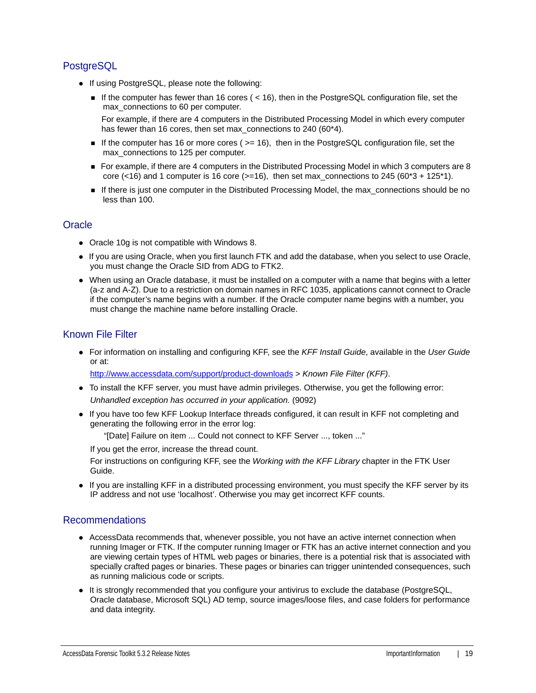### **PostgreSQL**

- If using PostgreSQL, please note the following:
	- If the computer has fewer than 16 cores ( $<$  16), then in the PostgreSQL configuration file, set the max connections to 60 per computer.

For example, if there are 4 computers in the Distributed Processing Model in which every computer has fewer than 16 cores, then set max\_connections to 240 (60\*4).

- If the computer has 16 or more cores ( $>= 16$ ), then in the PostgreSQL configuration file, set the max\_connections to 125 per computer.
- For example, if there are 4 computers in the Distributed Processing Model in which 3 computers are 8 core (<16) and 1 computer is 16 core ( $>=16$ ), then set max\_connections to 245 ( $60*3 + 125*1$ ).
- If there is just one computer in the Distributed Processing Model, the max\_connections should be no less than 100.

### **Oracle**

- Oracle 10g is not compatible with Windows 8.
- If you are using Oracle, when you first launch FTK and add the database, when you select to use Oracle, you must change the Oracle SID from ADG to FTK2.
- When using an Oracle database, it must be installed on a computer with a name that begins with a letter (a-z and A-Z). Due to a restriction on domain names in RFC 1035, applications cannot connect to Oracle if the computer's name begins with a number. If the Oracle computer name begins with a number, you must change the machine name before installing Oracle.

### Known File Filter

For information on installing and configuring KFF, see the *KFF Install Guide*, available in the *User Guide* or at:

<http://www.accessdata.com/support/product-downloads>> *Known File Filter (KFF)*.

- To install the KFF server, you must have admin privileges. Otherwise, you get the following error: *Unhandled exception has occurred in your application.* (9092)
- If you have too few KFF Lookup Interface threads configured, it can result in KFF not completing and generating the following error in the error log:

"[Date] Failure on item ... Could not connect to KFF Server ..., token ..."

If you get the error, increase the thread count.

For instructions on configuring KFF, see the *Working with the KFF Library* chapter in the FTK User Guide.

If you are installing KFF in a distributed processing environment, you must specify the KFF server by its IP address and not use 'localhost'. Otherwise you may get incorrect KFF counts.

### Recommendations

- AccessData recommends that, whenever possible, you not have an active internet connection when running Imager or FTK. If the computer running Imager or FTK has an active internet connection and you are viewing certain types of HTML web pages or binaries, there is a potential risk that is associated with specially crafted pages or binaries. These pages or binaries can trigger unintended consequences, such as running malicious code or scripts.
- It is strongly recommended that you configure your antivirus to exclude the database (PostgreSQL, Oracle database, Microsoft SQL) AD temp, source images/loose files, and case folders for performance and data integrity.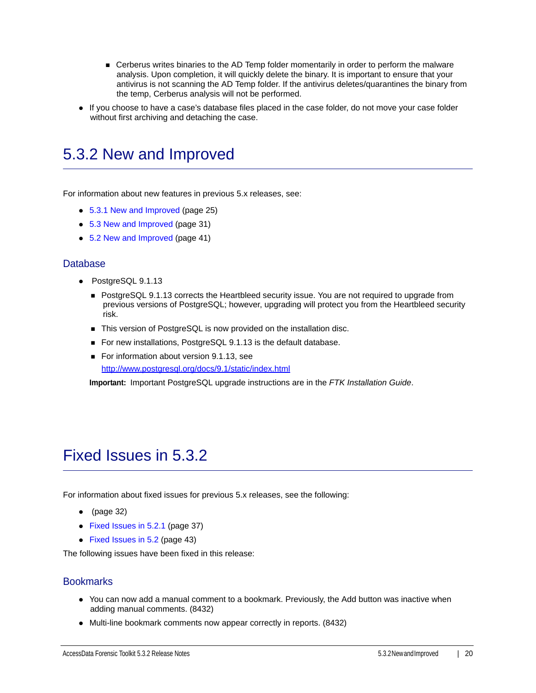- Cerberus writes binaries to the AD Temp folder momentarily in order to perform the malware analysis. Upon completion, it will quickly delete the binary. It is important to ensure that your antivirus is not scanning the AD Temp folder. If the antivirus deletes/quarantines the binary from the temp, Cerberus analysis will not be performed.
- If you choose to have a case's database files placed in the case folder, do not move your case folder without first archiving and detaching the case.

## <span id="page-19-0"></span>5.3.2 New and Improved

For information about new features in previous 5.x releases, see:

- [5.3.1 New and Improved \(page 25\)](#page-24-0)
- [5.3 New and Improved \(page 31\)](#page-30-0)
- [5.2 New and Improved \(page 41\)](#page-40-0)

#### Database

- PostgreSQL 9.1.13
	- **PostgreSQL 9.1.13 corrects the Heartbleed security issue. You are not required to upgrade from** previous versions of PostgreSQL; however, upgrading will protect you from the Heartbleed security risk.
	- This version of PostgreSQL is now provided on the installation disc.
	- For new installations, PostgreSQL 9.1.13 is the default database.
	- For information about version 9.1.13, see <http://www.postgresql.org/docs/9.1/static/index.html>

**Important:** Important PostgreSQL upgrade instructions are in the *FTK Installation Guide*.

### <span id="page-19-1"></span>Fixed Issues in 5.3.2

For information about fixed issues for previous 5.x releases, see the following:

- $\bullet$  [\(page 32\)](#page-31-1)
- [Fixed Issues in 5.2.1 \(page 37\)](#page-36-0)
- [Fixed Issues in 5.2 \(page 43\)](#page-42-0)

The following issues have been fixed in this release:

#### **Bookmarks**

- You can now add a manual comment to a bookmark. Previously, the Add button was inactive when adding manual comments. (8432)
- Multi-line bookmark comments now appear correctly in reports. (8432)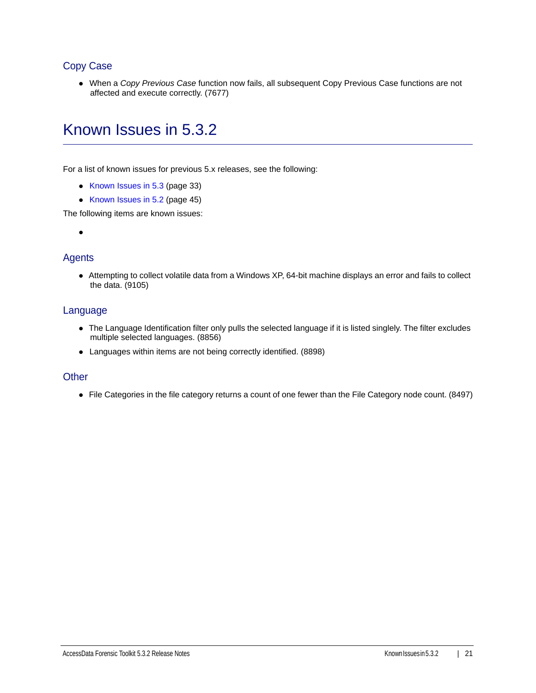### Copy Case

When a *Copy Previous Case* function now fails, all subsequent Copy Previous Case functions are not affected and execute correctly. (7677)

## <span id="page-20-0"></span>Known Issues in 5.3.2

For a list of known issues for previous 5.x releases, see the following:

- [Known Issues in 5.3 \(page 33\)](#page-32-0)
- [Known Issues in 5.2 \(page 45\)](#page-44-0)

The following items are known issues:

 $\bullet$ 

### **Agents**

Attempting to collect volatile data from a Windows XP, 64-bit machine displays an error and fails to collect the data. (9105)

### Language

- The Language Identification filter only pulls the selected language if it is listed singlely. The filter excludes multiple selected languages. (8856)
- Languages within items are not being correctly identified. (8898)

#### **Other**

• File Categories in the file category returns a count of one fewer than the File Category node count. (8497)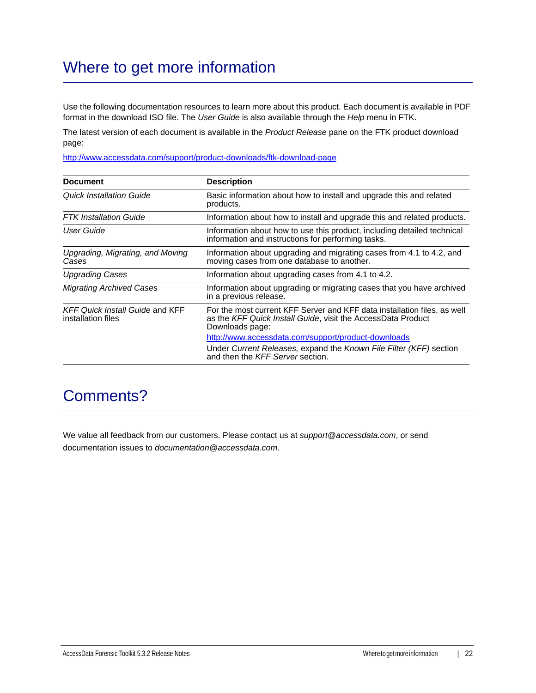# Where to get more information

Use the following documentation resources to learn more about this product. Each document is available in PDF format in the download ISO file. The *User Guide* is also available through the *Help* menu in FTK.

The latest version of each document is available in the *Product Release* pane on the FTK product download page:

http://www.accessdata.com/support/product-downloads/ftk-download-page

| <b>Document</b>                                              | <b>Description</b>                                                                                                                                          |
|--------------------------------------------------------------|-------------------------------------------------------------------------------------------------------------------------------------------------------------|
| <b>Quick Installation Guide</b>                              | Basic information about how to install and upgrade this and related<br>products.                                                                            |
| <b>FTK</b> Installation Guide                                | Information about how to install and upgrade this and related products.                                                                                     |
| User Guide                                                   | Information about how to use this product, including detailed technical<br>information and instructions for performing tasks.                               |
| Upgrading, Migrating, and Moving<br>Cases                    | Information about upgrading and migrating cases from 4.1 to 4.2, and<br>moving cases from one database to another.                                          |
| <b>Upgrading Cases</b>                                       | Information about upgrading cases from 4.1 to 4.2.                                                                                                          |
| <b>Migrating Archived Cases</b>                              | Information about upgrading or migrating cases that you have archived<br>in a previous release.                                                             |
| <b>KFF Quick Install Guide and KFF</b><br>installation files | For the most current KFF Server and KFF data installation files, as well<br>as the KFF Quick Install Guide, visit the AccessData Product<br>Downloads page: |
|                                                              | http://www.accessdata.com/support/product-downloads                                                                                                         |
|                                                              | Under Current Releases, expand the Known File Filter (KFF) section<br>and then the KFF Server section.                                                      |

### Comments?

We value all feedback from our customers. Please contact us at *support@accessdata.com*, or send documentation issues to *documentation@accessdata.com*.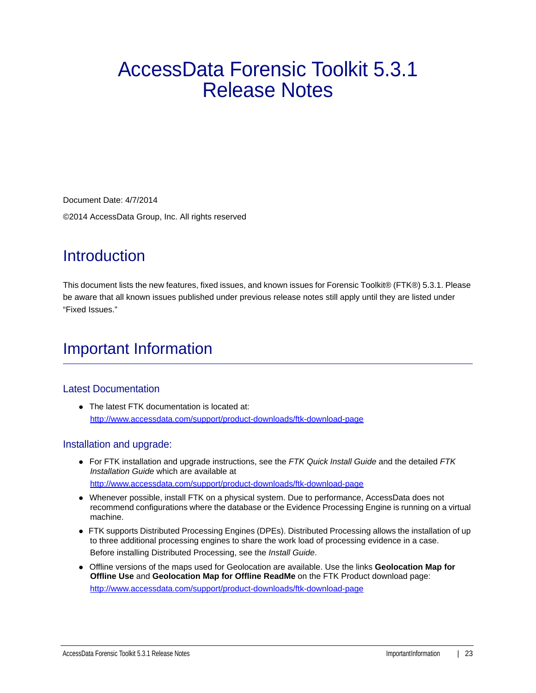# AccessData Forensic Toolkit 5.3.1 Release Notes

Document Date: 4/7/2014 ©2014 AccessData Group, Inc. All rights reserved

# **Introduction**

This document lists the new features, fixed issues, and known issues for Forensic Toolkit® (FTK®) 5.3.1. Please be aware that all known issues published under previous release notes still apply until they are listed under "Fixed Issues."

# Important Information

### Latest Documentation

• The latest FTK documentation is located at: http://www.accessdata.com/support/product-downloads/ftk-download-page

### Installation and upgrade:

- For FTK installation and upgrade instructions, see the *FTK Quick Install Guide* and the detailed *FTK Installation Guide* which are available at http://www.accessdata.com/support/product-downloads/ftk-download-page
- Whenever possible, install FTK on a physical system. Due to performance, AccessData does not recommend configurations where the database or the Evidence Processing Engine is running on a virtual machine.
- FTK supports Distributed Processing Engines (DPEs). Distributed Processing allows the installation of up to three additional processing engines to share the work load of processing evidence in a case. Before installing Distributed Processing, see the *Install Guide*.
- Offline versions of the maps used for Geolocation are available. Use the links **Geolocation Map for Offline Use** and **Geolocation Map for Offline ReadMe** on the FTK Product download page: http://www.accessdata.com/support/product-downloads/ftk-download-page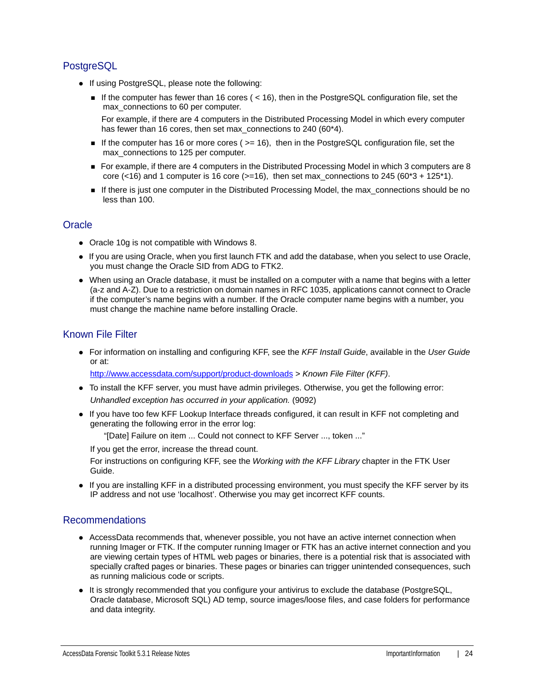### **PostgreSQL**

- If using PostgreSQL, please note the following:
	- If the computer has fewer than 16 cores ( $<$  16), then in the PostgreSQL configuration file, set the max connections to 60 per computer.

For example, if there are 4 computers in the Distributed Processing Model in which every computer has fewer than 16 cores, then set max\_connections to 240 (60\*4).

- If the computer has 16 or more cores ( $>= 16$ ), then in the PostgreSQL configuration file, set the max\_connections to 125 per computer.
- For example, if there are 4 computers in the Distributed Processing Model in which 3 computers are 8 core (<16) and 1 computer is 16 core ( $>=16$ ), then set max\_connections to 245 ( $60*3 + 125*1$ ).
- If there is just one computer in the Distributed Processing Model, the max\_connections should be no less than 100.

### **Oracle**

- Oracle 10g is not compatible with Windows 8.
- If you are using Oracle, when you first launch FTK and add the database, when you select to use Oracle, you must change the Oracle SID from ADG to FTK2.
- When using an Oracle database, it must be installed on a computer with a name that begins with a letter (a-z and A-Z). Due to a restriction on domain names in RFC 1035, applications cannot connect to Oracle if the computer's name begins with a number. If the Oracle computer name begins with a number, you must change the machine name before installing Oracle.

### Known File Filter

For information on installing and configuring KFF, see the *KFF Install Guide*, available in the *User Guide* or at:

<http://www.accessdata.com/support/product-downloads>> *Known File Filter (KFF)*.

- To install the KFF server, you must have admin privileges. Otherwise, you get the following error: *Unhandled exception has occurred in your application.* (9092)
- If you have too few KFF Lookup Interface threads configured, it can result in KFF not completing and generating the following error in the error log:

"[Date] Failure on item ... Could not connect to KFF Server ..., token ..."

If you get the error, increase the thread count.

For instructions on configuring KFF, see the *Working with the KFF Library* chapter in the FTK User Guide.

If you are installing KFF in a distributed processing environment, you must specify the KFF server by its IP address and not use 'localhost'. Otherwise you may get incorrect KFF counts.

### Recommendations

- AccessData recommends that, whenever possible, you not have an active internet connection when running Imager or FTK. If the computer running Imager or FTK has an active internet connection and you are viewing certain types of HTML web pages or binaries, there is a potential risk that is associated with specially crafted pages or binaries. These pages or binaries can trigger unintended consequences, such as running malicious code or scripts.
- It is strongly recommended that you configure your antivirus to exclude the database (PostgreSQL, Oracle database, Microsoft SQL) AD temp, source images/loose files, and case folders for performance and data integrity.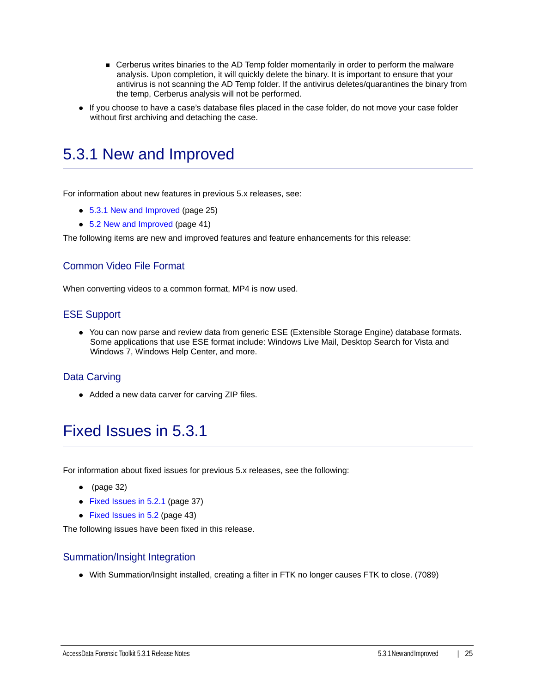- Cerberus writes binaries to the AD Temp folder momentarily in order to perform the malware analysis. Upon completion, it will quickly delete the binary. It is important to ensure that your antivirus is not scanning the AD Temp folder. If the antivirus deletes/quarantines the binary from the temp, Cerberus analysis will not be performed.
- If you choose to have a case's database files placed in the case folder, do not move your case folder without first archiving and detaching the case.

### <span id="page-24-0"></span>5.3.1 New and Improved

For information about new features in previous 5.x releases, see:

- [5.3.1 New and Improved \(page 25\)](#page-24-0)
- [5.2 New and Improved \(page 41\)](#page-40-0)

The following items are new and improved features and feature enhancements for this release:

### Common Video File Format

When converting videos to a common format, MP4 is now used.

#### ESE Support

You can now parse and review data from generic ESE (Extensible Storage Engine) database formats. Some applications that use ESE format include: Windows Live Mail, Desktop Search for Vista and Windows 7, Windows Help Center, and more.

### Data Carving

• Added a new data carver for carving ZIP files.

### <span id="page-24-1"></span>Fixed Issues in 5.3.1

For information about fixed issues for previous 5.x releases, see the following:

- $\bullet$  [\(page 32\)](#page-31-1)
- [Fixed Issues in 5.2.1 \(page 37\)](#page-36-0)
- [Fixed Issues in 5.2 \(page 43\)](#page-42-0)

The following issues have been fixed in this release.

#### Summation/Insight Integration

With Summation/Insight installed, creating a filter in FTK no longer causes FTK to close. (7089)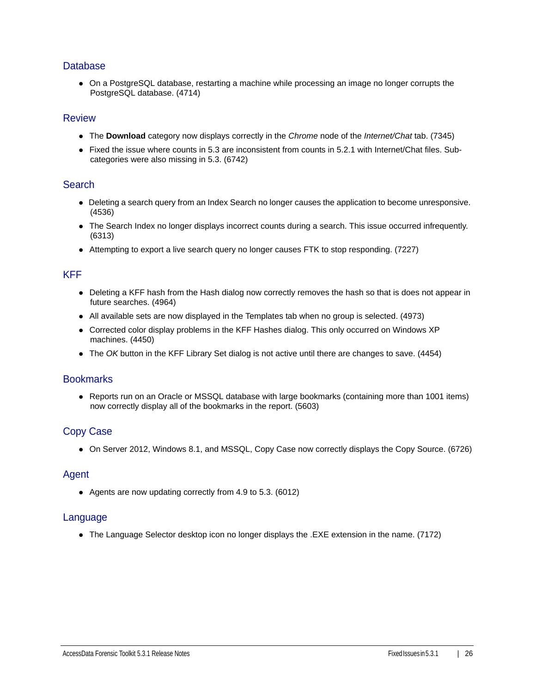#### **Database**

On a PostgreSQL database, restarting a machine while processing an image no longer corrupts the PostgreSQL database. (4714)

#### Review

- The **Download** category now displays correctly in the *Chrome* node of the *Internet/Chat* tab. (7345)
- Fixed the issue where counts in 5.3 are inconsistent from counts in 5.2.1 with Internet/Chat files. Subcategories were also missing in 5.3. (6742)

#### **Search**

- Deleting a search query from an Index Search no longer causes the application to become unresponsive. (4536)
- The Search Index no longer displays incorrect counts during a search. This issue occurred infrequently. (6313)
- Attempting to export a live search query no longer causes FTK to stop responding. (7227)

#### KFF

- Deleting a KFF hash from the Hash dialog now correctly removes the hash so that is does not appear in future searches. (4964)
- All available sets are now displayed in the Templates tab when no group is selected. (4973)
- Corrected color display problems in the KFF Hashes dialog. This only occurred on Windows XP machines. (4450)
- The *OK* button in the KFF Library Set dialog is not active until there are changes to save. (4454)

#### **Bookmarks**

• Reports run on an Oracle or MSSQL database with large bookmarks (containing more than 1001 items) now correctly display all of the bookmarks in the report. (5603)

### Copy Case

On Server 2012, Windows 8.1, and MSSQL, Copy Case now correctly displays the Copy Source. (6726)

#### Agent

Agents are now updating correctly from 4.9 to 5.3. (6012)

#### Language

The Language Selector desktop icon no longer displays the .EXE extension in the name. (7172)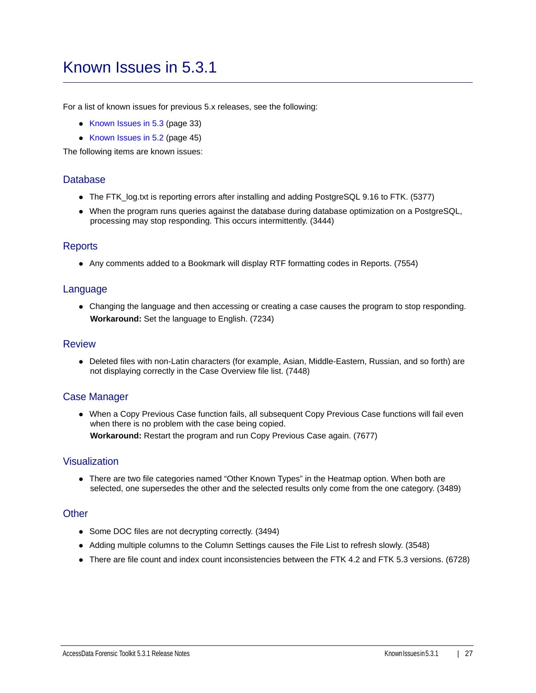### <span id="page-26-0"></span>Known Issues in 5.3.1

For a list of known issues for previous 5.x releases, see the following:

- [Known Issues in 5.3 \(page 33\)](#page-32-0)
- [Known Issues in 5.2 \(page 45\)](#page-44-0)

The following items are known issues:

#### **Database**

- The FTK\_log.txt is reporting errors after installing and adding PostgreSQL 9.16 to FTK. (5377)
- When the program runs queries against the database during database optimization on a PostgreSQL, processing may stop responding. This occurs intermittently. (3444)

#### **Reports**

Any comments added to a Bookmark will display RTF formatting codes in Reports. (7554)

#### Language

Changing the language and then accessing or creating a case causes the program to stop responding. **Workaround:** Set the language to English. (7234)

#### Review

Deleted files with non-Latin characters (for example, Asian, Middle-Eastern, Russian, and so forth) are not displaying correctly in the Case Overview file list. (7448)

### Case Manager

When a Copy Previous Case function fails, all subsequent Copy Previous Case functions will fail even when there is no problem with the case being copied.

**Workaround:** Restart the program and run Copy Previous Case again. (7677)

#### Visualization

• There are two file categories named "Other Known Types" in the Heatmap option. When both are selected, one supersedes the other and the selected results only come from the one category. (3489)

#### **Other**

- Some DOC files are not decrypting correctly. (3494)
- Adding multiple columns to the Column Settings causes the File List to refresh slowly. (3548)
- There are file count and index count inconsistencies between the FTK 4.2 and FTK 5.3 versions. (6728)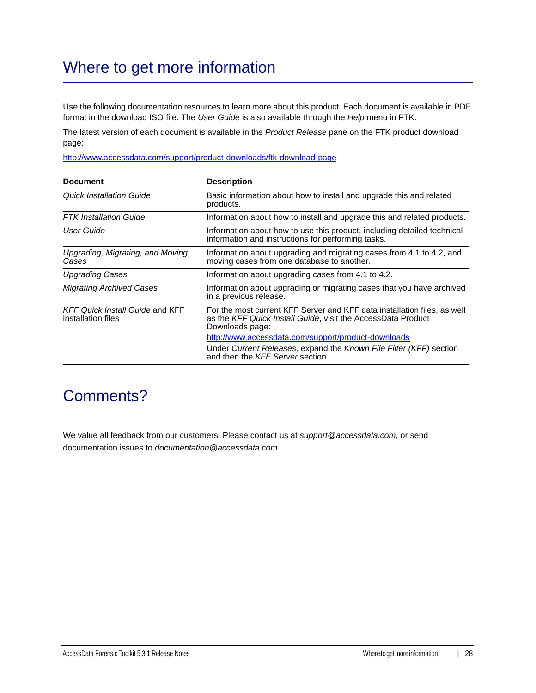# Where to get more information

Use the following documentation resources to learn more about this product. Each document is available in PDF format in the download ISO file. The *User Guide* is also available through the *Help* menu in FTK.

The latest version of each document is available in the *Product Release* pane on the FTK product download page:

http://www.accessdata.com/support/product-downloads/ftk-download-page

| <b>Document</b>                                              | <b>Description</b>                                                                                                                                          |
|--------------------------------------------------------------|-------------------------------------------------------------------------------------------------------------------------------------------------------------|
| <b>Quick Installation Guide</b>                              | Basic information about how to install and upgrade this and related<br>products.                                                                            |
| <b>FTK</b> Installation Guide                                | Information about how to install and upgrade this and related products.                                                                                     |
| User Guide                                                   | Information about how to use this product, including detailed technical<br>information and instructions for performing tasks.                               |
| Upgrading, Migrating, and Moving<br>Cases                    | Information about upgrading and migrating cases from 4.1 to 4.2, and<br>moving cases from one database to another.                                          |
| <b>Upgrading Cases</b>                                       | Information about upgrading cases from 4.1 to 4.2.                                                                                                          |
| <b>Migrating Archived Cases</b>                              | Information about upgrading or migrating cases that you have archived<br>in a previous release.                                                             |
| <b>KFF Quick Install Guide and KFF</b><br>installation files | For the most current KFF Server and KFF data installation files, as well<br>as the KFF Quick Install Guide, visit the AccessData Product<br>Downloads page: |
|                                                              | http://www.accessdata.com/support/product-downloads                                                                                                         |
|                                                              | Under Current Releases, expand the Known File Filter (KFF) section<br>and then the KFF Server section.                                                      |

### Comments?

We value all feedback from our customers. Please contact us at *support@accessdata.com*, or send documentation issues to *documentation@accessdata.com*.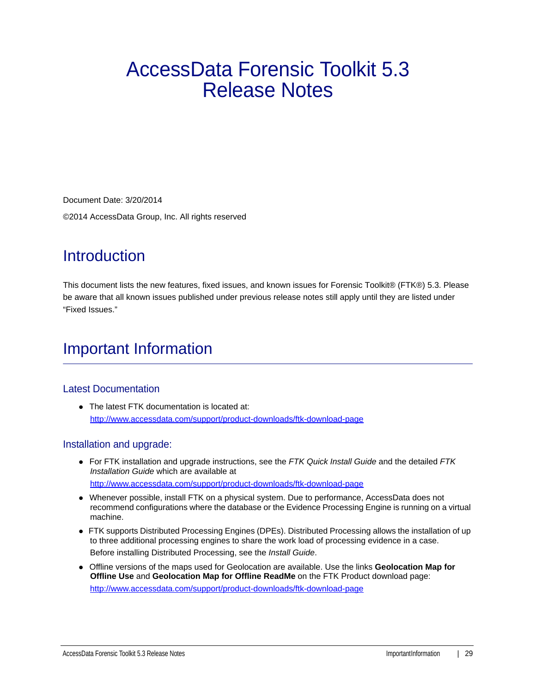# AccessData Forensic Toolkit 5.3 Release Notes

Document Date: 3/20/2014

©2014 AccessData Group, Inc. All rights reserved

# **Introduction**

This document lists the new features, fixed issues, and known issues for Forensic Toolkit® (FTK®) 5.3. Please be aware that all known issues published under previous release notes still apply until they are listed under "Fixed Issues."

# Important Information

### Latest Documentation

• The latest FTK documentation is located at: http://www.accessdata.com/support/product-downloads/ftk-download-page

### Installation and upgrade:

- For FTK installation and upgrade instructions, see the *FTK Quick Install Guide* and the detailed *FTK Installation Guide* which are available at http://www.accessdata.com/support/product-downloads/ftk-download-page
- Whenever possible, install FTK on a physical system. Due to performance, AccessData does not recommend configurations where the database or the Evidence Processing Engine is running on a virtual machine.
- FTK supports Distributed Processing Engines (DPEs). Distributed Processing allows the installation of up to three additional processing engines to share the work load of processing evidence in a case. Before installing Distributed Processing, see the *Install Guide*.
- Offline versions of the maps used for Geolocation are available. Use the links **Geolocation Map for Offline Use** and **Geolocation Map for Offline ReadMe** on the FTK Product download page: http://www.accessdata.com/support/product-downloads/ftk-download-page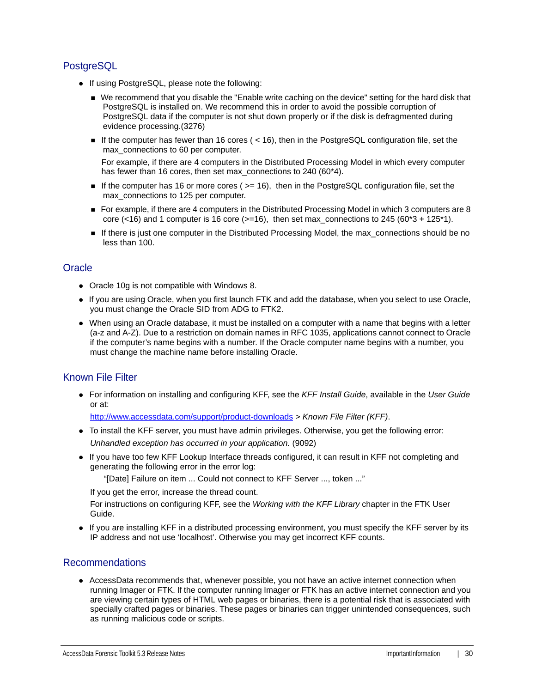### **PostgreSQL**

- If using PostgreSQL, please note the following:
	- We recommend that you disable the "Enable write caching on the device" setting for the hard disk that PostgreSQL is installed on. We recommend this in order to avoid the possible corruption of PostgreSQL data if the computer is not shut down properly or if the disk is defragmented during evidence processing.(3276)
	- If the computer has fewer than 16 cores  $($  < 16), then in the PostgreSQL configuration file, set the max\_connections to 60 per computer.

For example, if there are 4 computers in the Distributed Processing Model in which every computer has fewer than 16 cores, then set max\_connections to 240 (60\*4).

- If the computer has 16 or more cores ( $>= 16$ ), then in the PostgreSQL configuration file, set the max\_connections to 125 per computer.
- For example, if there are 4 computers in the Distributed Processing Model in which 3 computers are 8 core (<16) and 1 computer is 16 core ( $>=16$ ), then set max connections to 245 (60\*3 + 125\*1).
- If there is just one computer in the Distributed Processing Model, the max connections should be no less than 100.

### **Oracle**

- Oracle 10g is not compatible with Windows 8.
- If you are using Oracle, when you first launch FTK and add the database, when you select to use Oracle, you must change the Oracle SID from ADG to FTK2.
- When using an Oracle database, it must be installed on a computer with a name that begins with a letter (a-z and A-Z). Due to a restriction on domain names in RFC 1035, applications cannot connect to Oracle if the computer's name begins with a number. If the Oracle computer name begins with a number, you must change the machine name before installing Oracle.

### Known File Filter

For information on installing and configuring KFF, see the *KFF Install Guide*, available in the *User Guide* or at:

<http://www.accessdata.com/support/product-downloads>> *Known File Filter (KFF)*.

- To install the KFF server, you must have admin privileges. Otherwise, you get the following error: *Unhandled exception has occurred in your application.* (9092)
- If you have too few KFF Lookup Interface threads configured, it can result in KFF not completing and generating the following error in the error log:

"[Date] Failure on item ... Could not connect to KFF Server ..., token ..."

If you get the error, increase the thread count.

For instructions on configuring KFF, see the *Working with the KFF Library* chapter in the FTK User Guide.

• If you are installing KFF in a distributed processing environment, you must specify the KFF server by its IP address and not use 'localhost'. Otherwise you may get incorrect KFF counts.

### Recommendations

AccessData recommends that, whenever possible, you not have an active internet connection when running Imager or FTK. If the computer running Imager or FTK has an active internet connection and you are viewing certain types of HTML web pages or binaries, there is a potential risk that is associated with specially crafted pages or binaries. These pages or binaries can trigger unintended consequences, such as running malicious code or scripts.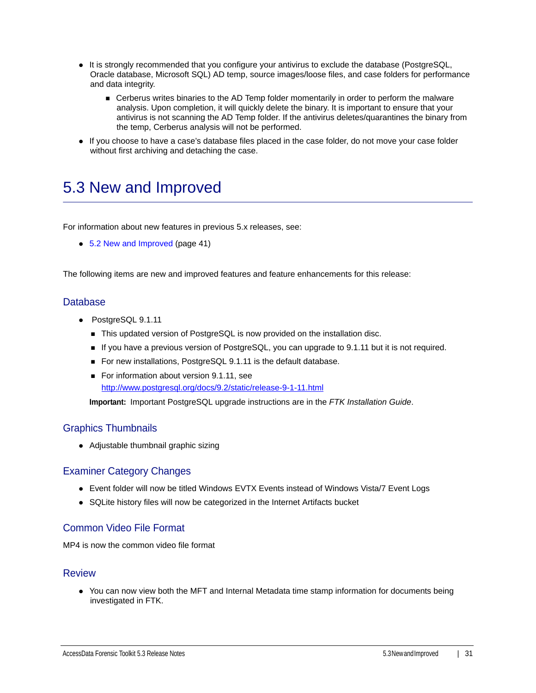- It is strongly recommended that you configure your antivirus to exclude the database (PostgreSQL, Oracle database, Microsoft SQL) AD temp, source images/loose files, and case folders for performance and data integrity.
	- Cerberus writes binaries to the AD Temp folder momentarily in order to perform the malware analysis. Upon completion, it will quickly delete the binary. It is important to ensure that your antivirus is not scanning the AD Temp folder. If the antivirus deletes/quarantines the binary from the temp, Cerberus analysis will not be performed.
- If you choose to have a case's database files placed in the case folder, do not move your case folder without first archiving and detaching the case.

## <span id="page-30-0"></span>5.3 New and Improved

For information about new features in previous 5.x releases, see:

• [5.2 New and Improved \(page 41\)](#page-40-0)

The following items are new and improved features and feature enhancements for this release:

#### Database

- PostgreSQL 9.1.11
	- This updated version of PostgreSQL is now provided on the installation disc.
	- If you have a previous version of PostgreSQL, you can upgrade to 9.1.11 but it is not required.
	- For new installations, PostgreSQL 9.1.11 is the default database.
	- For information about version 9.1.11, see <http://www.postgresql.org/docs/9.2/static/release-9-1-11.html>

**Important:** Important PostgreSQL upgrade instructions are in the *FTK Installation Guide*.

#### Graphics Thumbnails

• Adjustable thumbnail graphic sizing

#### Examiner Category Changes

- Event folder will now be titled Windows EVTX Events instead of Windows Vista/7 Event Logs
- SQLite history files will now be categorized in the Internet Artifacts bucket

### Common Video File Format

MP4 is now the common video file format

#### Review

• You can now view both the MFT and Internal Metadata time stamp information for documents being investigated in FTK.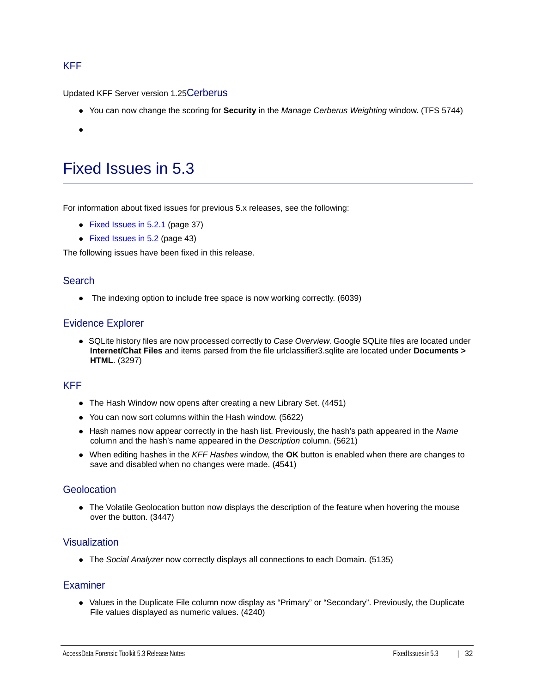### KFF

Updated KFF Server version 1.25Cerberus

- You can now change the scoring for **Security** in the *Manage Cerberus Weighting* window. (TFS 5744)
- <span id="page-31-1"></span> $\bullet$

### <span id="page-31-0"></span>Fixed Issues in 5.3

For information about fixed issues for previous 5.x releases, see the following:

- [Fixed Issues in 5.2.1 \(page 37\)](#page-36-0)
- [Fixed Issues in 5.2 \(page 43\)](#page-42-0)

The following issues have been fixed in this release.

#### **Search**

• The indexing option to include free space is now working correctly. (6039)

#### Evidence Explorer

SQLite history files are now processed correctly to *Case Overview*. Google SQLite files are located under **Internet/Chat Files** and items parsed from the file urlclassifier3.sqlite are located under **Documents > HTML**. (3297)

### KFF

- The Hash Window now opens after creating a new Library Set. (4451)
- You can now sort columns within the Hash window. (5622)
- Hash names now appear correctly in the hash list. Previously, the hash's path appeared in the *Name* column and the hash's name appeared in the *Description* column. (5621)
- When editing hashes in the *KFF Hashes* window, the **OK** button is enabled when there are changes to save and disabled when no changes were made. (4541)

#### **Geolocation**

• The Volatile Geolocation button now displays the description of the feature when hovering the mouse over the button. (3447)

#### Visualization

The *Social Analyzer* now correctly displays all connections to each Domain. (5135)

#### Examiner

• Values in the Duplicate File column now display as "Primary" or "Secondary". Previously, the Duplicate File values displayed as numeric values. (4240)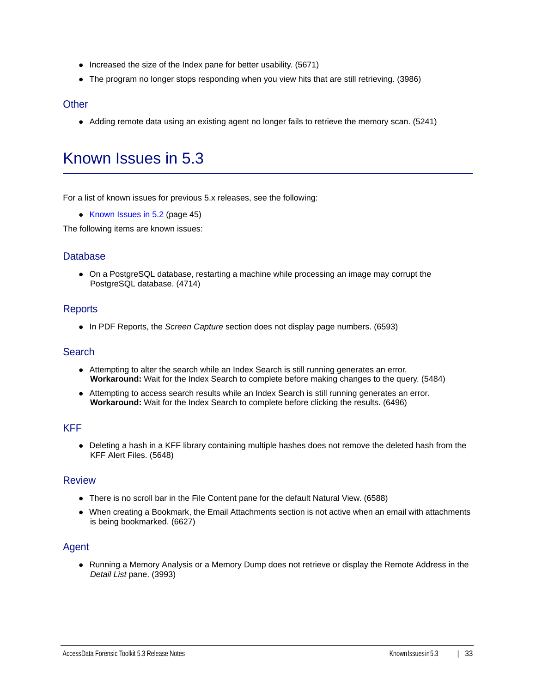- $\bullet$  Increased the size of the Index pane for better usability. (5671)
- The program no longer stops responding when you view hits that are still retrieving. (3986)

#### **Other**

• Adding remote data using an existing agent no longer fails to retrieve the memory scan. (5241)

# <span id="page-32-0"></span>Known Issues in 5.3

For a list of known issues for previous 5.x releases, see the following:

• Known Issues in  $5.2$  (page 45)

The following items are known issues:

#### **Database**

On a PostgreSQL database, restarting a machine while processing an image may corrupt the PostgreSQL database. (4714)

#### **Reports**

In PDF Reports, the *Screen Capture* section does not display page numbers. (6593)

#### **Search**

- Attempting to alter the search while an Index Search is still running generates an error. **Workaround:** Wait for the Index Search to complete before making changes to the query. (5484)
- Attempting to access search results while an Index Search is still running generates an error. **Workaround:** Wait for the Index Search to complete before clicking the results. (6496)

#### KFF

Deleting a hash in a KFF library containing multiple hashes does not remove the deleted hash from the KFF Alert Files. (5648)

#### Review

- There is no scroll bar in the File Content pane for the default Natural View. (6588)
- When creating a Bookmark, the Email Attachments section is not active when an email with attachments is being bookmarked. (6627)

#### Agent

• Running a Memory Analysis or a Memory Dump does not retrieve or display the Remote Address in the *Detail List* pane. (3993)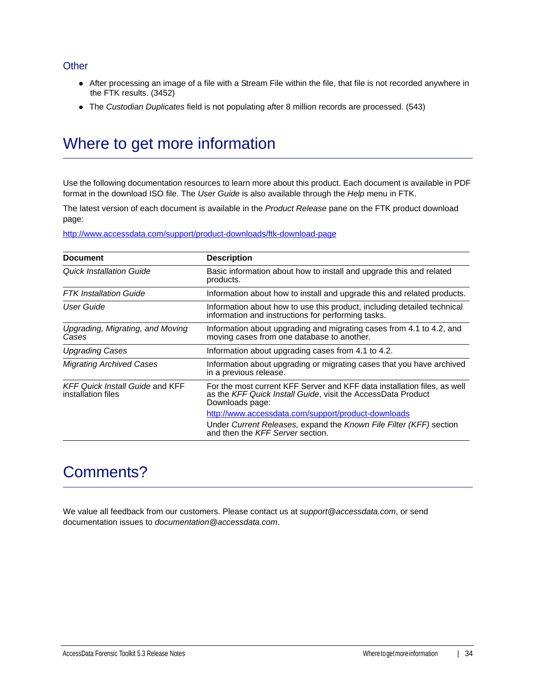#### **Other**

- After processing an image of a file with a Stream File within the file, that file is not recorded anywhere in the FTK results. (3452)
- The *Custodian Duplicates* field is not populating after 8 million records are processed. (543)

## Where to get more information

Use the following documentation resources to learn more about this product. Each document is available in PDF format in the download ISO file. The *User Guide* is also available through the *Help* menu in FTK.

The latest version of each document is available in the *Product Release* pane on the FTK product download page:

http://www.accessdata.com/support/product-downloads/ftk-download-page

| <b>Document</b>                                              | <b>Description</b>                                                                                                                                          |
|--------------------------------------------------------------|-------------------------------------------------------------------------------------------------------------------------------------------------------------|
| Quick Installation Guide                                     | Basic information about how to install and upgrade this and related<br>products.                                                                            |
| <b>FTK</b> Installation Guide                                | Information about how to install and upgrade this and related products.                                                                                     |
| User Guide                                                   | Information about how to use this product, including detailed technical<br>information and instructions for performing tasks.                               |
| Upgrading, Migrating, and Moving<br>Cases                    | Information about upgrading and migrating cases from 4.1 to 4.2, and<br>moving cases from one database to another.                                          |
| <b>Upgrading Cases</b>                                       | Information about upgrading cases from 4.1 to 4.2.                                                                                                          |
| <b>Migrating Archived Cases</b>                              | Information about upgrading or migrating cases that you have archived<br>in a previous release.                                                             |
| <b>KFF Quick Install Guide and KFF</b><br>installation files | For the most current KFF Server and KFF data installation files, as well<br>as the KFF Quick Install Guide, visit the AccessData Product<br>Downloads page: |
|                                                              | http://www.accessdata.com/support/product-downloads                                                                                                         |
|                                                              | Under Current Releases, expand the Known File Filter (KFF) section<br>and then the KFF Server section.                                                      |

### Comments?

We value all feedback from our customers. Please contact us at *support@accessdata.com*, or send documentation issues to *documentation@accessdata.com*.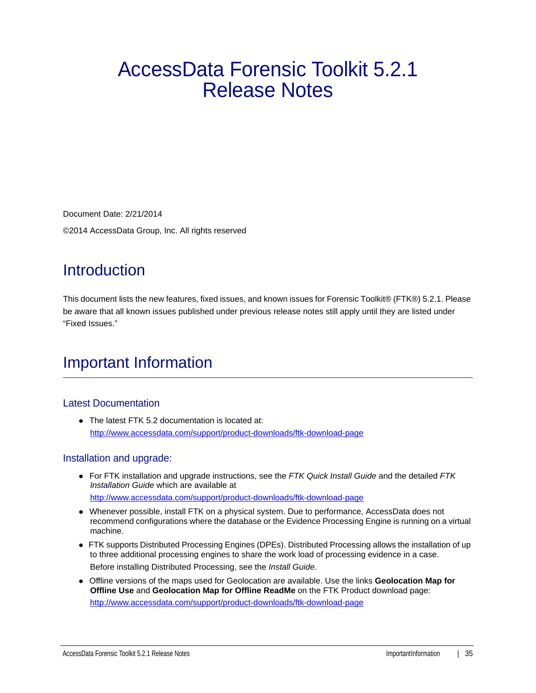# AccessData Forensic Toolkit 5.2.1 Release Notes

Document Date: 2/21/2014 ©2014 AccessData Group, Inc. All rights reserved

## **Introduction**

This document lists the new features, fixed issues, and known issues for Forensic Toolkit® (FTK®) 5.2.1. Please be aware that all known issues published under previous release notes still apply until they are listed under "Fixed Issues."

# Important Information

### Latest Documentation

• The latest FTK 5.2 documentation is located at: http://www.accessdata.com/support/product-downloads/ftk-download-page

### Installation and upgrade:

- For FTK installation and upgrade instructions, see the *FTK Quick Install Guide* and the detailed *FTK Installation Guide* which are available at http://www.accessdata.com/support/product-downloads/ftk-download-page
- Whenever possible, install FTK on a physical system. Due to performance, AccessData does not recommend configurations where the database or the Evidence Processing Engine is running on a virtual machine.
- FTK supports Distributed Processing Engines (DPEs). Distributed Processing allows the installation of up to three additional processing engines to share the work load of processing evidence in a case. Before installing Distributed Processing, see the *Install Guide*.
- Offline versions of the maps used for Geolocation are available. Use the links **Geolocation Map for Offline Use** and **Geolocation Map for Offline ReadMe** on the FTK Product download page: http://www.accessdata.com/support/product-downloads/ftk-download-page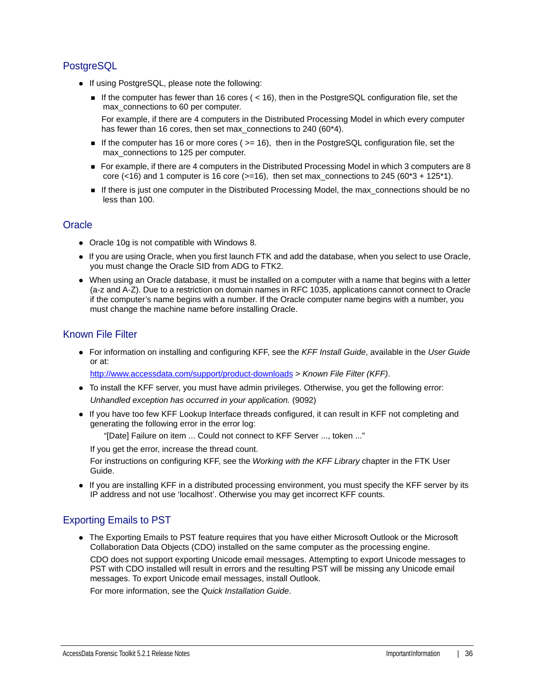### **PostgreSQL**

- If using PostgreSQL, please note the following:
	- If the computer has fewer than 16 cores ( $<$  16), then in the PostgreSQL configuration file, set the max connections to 60 per computer.

For example, if there are 4 computers in the Distributed Processing Model in which every computer has fewer than 16 cores, then set max\_connections to 240 (60\*4).

- If the computer has 16 or more cores ( $>= 16$ ), then in the PostgreSQL configuration file, set the max\_connections to 125 per computer.
- For example, if there are 4 computers in the Distributed Processing Model in which 3 computers are 8 core (<16) and 1 computer is 16 core ( $>=16$ ), then set max\_connections to 245 ( $60*3 + 125*1$ ).
- If there is just one computer in the Distributed Processing Model, the max\_connections should be no less than 100.

### **Oracle**

- Oracle 10g is not compatible with Windows 8.
- If you are using Oracle, when you first launch FTK and add the database, when you select to use Oracle, you must change the Oracle SID from ADG to FTK2.
- When using an Oracle database, it must be installed on a computer with a name that begins with a letter (a-z and A-Z). Due to a restriction on domain names in RFC 1035, applications cannot connect to Oracle if the computer's name begins with a number. If the Oracle computer name begins with a number, you must change the machine name before installing Oracle.

### Known File Filter

For information on installing and configuring KFF, see the *KFF Install Guide*, available in the *User Guide* or at:

<http://www.accessdata.com/support/product-downloads>> *Known File Filter (KFF)*.

- To install the KFF server, you must have admin privileges. Otherwise, you get the following error: *Unhandled exception has occurred in your application.* (9092)
- If you have too few KFF Lookup Interface threads configured, it can result in KFF not completing and generating the following error in the error log:

"[Date] Failure on item ... Could not connect to KFF Server ..., token ..."

If you get the error, increase the thread count.

For instructions on configuring KFF, see the *Working with the KFF Library* chapter in the FTK User Guide.

If you are installing KFF in a distributed processing environment, you must specify the KFF server by its IP address and not use 'localhost'. Otherwise you may get incorrect KFF counts.

### Exporting Emails to PST

The Exporting Emails to PST feature requires that you have either Microsoft Outlook or the Microsoft Collaboration Data Objects (CDO) installed on the same computer as the processing engine.

CDO does not support exporting Unicode email messages. Attempting to export Unicode messages to PST with CDO installed will result in errors and the resulting PST will be missing any Unicode email messages. To export Unicode email messages, install Outlook.

For more information, see the *Quick Installation Guide*.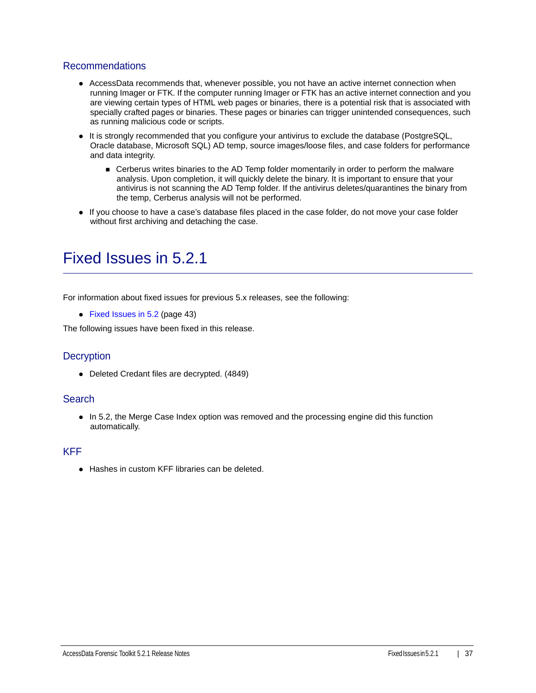#### Recommendations

- AccessData recommends that, whenever possible, you not have an active internet connection when running Imager or FTK. If the computer running Imager or FTK has an active internet connection and you are viewing certain types of HTML web pages or binaries, there is a potential risk that is associated with specially crafted pages or binaries. These pages or binaries can trigger unintended consequences, such as running malicious code or scripts.
- It is strongly recommended that you configure your antivirus to exclude the database (PostgreSQL, Oracle database, Microsoft SQL) AD temp, source images/loose files, and case folders for performance and data integrity.
	- **EXEC** Cerberus writes binaries to the AD Temp folder momentarily in order to perform the malware analysis. Upon completion, it will quickly delete the binary. It is important to ensure that your antivirus is not scanning the AD Temp folder. If the antivirus deletes/quarantines the binary from the temp, Cerberus analysis will not be performed.
- If you choose to have a case's database files placed in the case folder, do not move your case folder without first archiving and detaching the case.

### <span id="page-36-0"></span>Fixed Issues in 5.2.1

For information about fixed issues for previous 5.x releases, see the following:

• [Fixed Issues in 5.2 \(page 43\)](#page-42-0)

The following issues have been fixed in this release.

### **Decryption**

Deleted Credant files are decrypted. (4849)

#### **Search**

• In 5.2, the Merge Case Index option was removed and the processing engine did this function automatically.

#### KFF

● Hashes in custom KFF libraries can be deleted.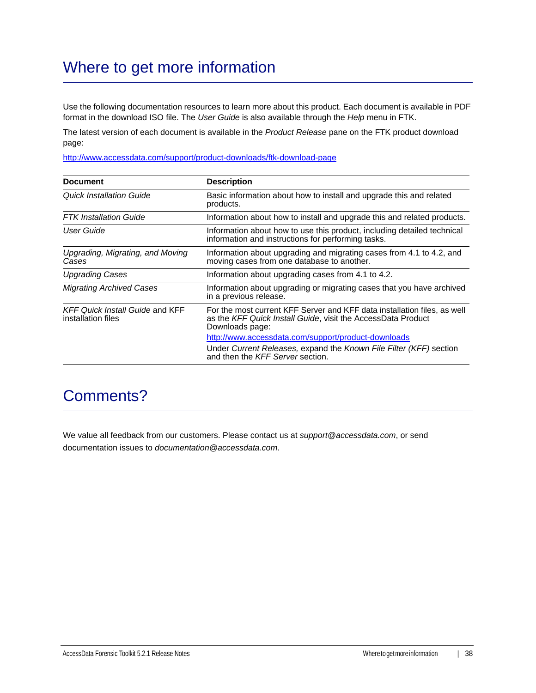# Where to get more information

Use the following documentation resources to learn more about this product. Each document is available in PDF format in the download ISO file. The *User Guide* is also available through the *Help* menu in FTK.

The latest version of each document is available in the *Product Release* pane on the FTK product download page:

http://www.accessdata.com/support/product-downloads/ftk-download-page

| <b>Document</b>                                              | <b>Description</b>                                                                                                                                          |
|--------------------------------------------------------------|-------------------------------------------------------------------------------------------------------------------------------------------------------------|
| <b>Quick Installation Guide</b>                              | Basic information about how to install and upgrade this and related<br>products.                                                                            |
| <b>FTK</b> Installation Guide                                | Information about how to install and upgrade this and related products.                                                                                     |
| User Guide                                                   | Information about how to use this product, including detailed technical<br>information and instructions for performing tasks.                               |
| Upgrading, Migrating, and Moving<br>Cases                    | Information about upgrading and migrating cases from 4.1 to 4.2, and<br>moving cases from one database to another.                                          |
| <b>Upgrading Cases</b>                                       | Information about upgrading cases from 4.1 to 4.2.                                                                                                          |
| <b>Migrating Archived Cases</b>                              | Information about upgrading or migrating cases that you have archived<br>in a previous release.                                                             |
| <b>KFF Quick Install Guide and KFF</b><br>installation files | For the most current KFF Server and KFF data installation files, as well<br>as the KFF Quick Install Guide, visit the AccessData Product<br>Downloads page: |
|                                                              | http://www.accessdata.com/support/product-downloads                                                                                                         |
|                                                              | Under Current Releases, expand the Known File Filter (KFF) section<br>and then the KFF Server section.                                                      |

### Comments?

We value all feedback from our customers. Please contact us at *support@accessdata.com*, or send documentation issues to *documentation@accessdata.com*.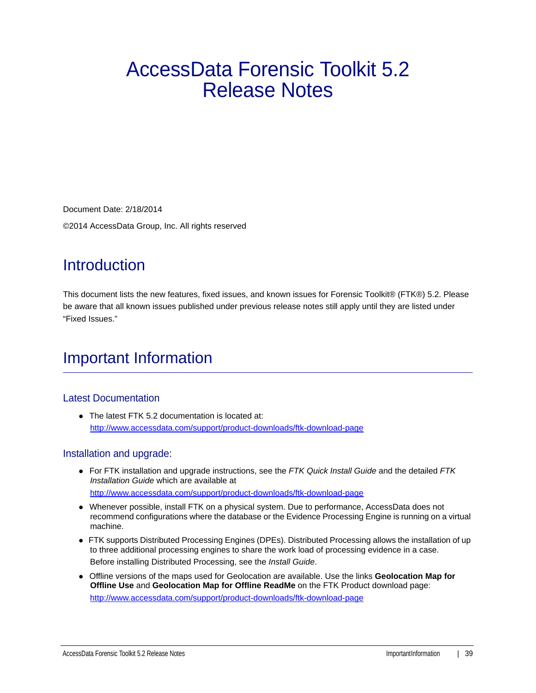# AccessData Forensic Toolkit 5.2 Release Notes

Document Date: 2/18/2014

©2014 AccessData Group, Inc. All rights reserved

# **Introduction**

This document lists the new features, fixed issues, and known issues for Forensic Toolkit® (FTK®) 5.2. Please be aware that all known issues published under previous release notes still apply until they are listed under "Fixed Issues."

## Important Information

### Latest Documentation

• The latest FTK 5.2 documentation is located at: http://www.accessdata.com/support/product-downloads/ftk-download-page

### Installation and upgrade:

- For FTK installation and upgrade instructions, see the *FTK Quick Install Guide* and the detailed *FTK Installation Guide* which are available at http://www.accessdata.com/support/product-downloads/ftk-download-page
- Whenever possible, install FTK on a physical system. Due to performance, AccessData does not recommend configurations where the database or the Evidence Processing Engine is running on a virtual machine.
- FTK supports Distributed Processing Engines (DPEs). Distributed Processing allows the installation of up to three additional processing engines to share the work load of processing evidence in a case. Before installing Distributed Processing, see the *Install Guide*.
- Offline versions of the maps used for Geolocation are available. Use the links **Geolocation Map for Offline Use** and **Geolocation Map for Offline ReadMe** on the FTK Product download page: http://www.accessdata.com/support/product-downloads/ftk-download-page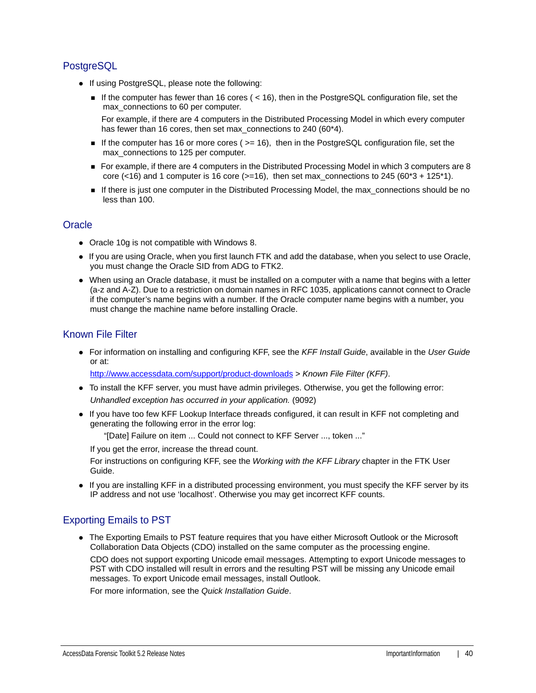### **PostgreSQL**

- If using PostgreSQL, please note the following:
	- If the computer has fewer than 16 cores ( $<$  16), then in the PostgreSQL configuration file, set the max connections to 60 per computer.

For example, if there are 4 computers in the Distributed Processing Model in which every computer has fewer than 16 cores, then set max\_connections to 240 (60\*4).

- If the computer has 16 or more cores ( $>= 16$ ), then in the PostgreSQL configuration file, set the max\_connections to 125 per computer.
- For example, if there are 4 computers in the Distributed Processing Model in which 3 computers are 8 core (<16) and 1 computer is 16 core ( $>=16$ ), then set max\_connections to 245 ( $60*3 + 125*1$ ).
- If there is just one computer in the Distributed Processing Model, the max\_connections should be no less than 100.

### **Oracle**

- Oracle 10g is not compatible with Windows 8.
- If you are using Oracle, when you first launch FTK and add the database, when you select to use Oracle, you must change the Oracle SID from ADG to FTK2.
- When using an Oracle database, it must be installed on a computer with a name that begins with a letter (a-z and A-Z). Due to a restriction on domain names in RFC 1035, applications cannot connect to Oracle if the computer's name begins with a number. If the Oracle computer name begins with a number, you must change the machine name before installing Oracle.

### Known File Filter

For information on installing and configuring KFF, see the *KFF Install Guide*, available in the *User Guide* or at:

<http://www.accessdata.com/support/product-downloads>> *Known File Filter (KFF)*.

- To install the KFF server, you must have admin privileges. Otherwise, you get the following error: *Unhandled exception has occurred in your application.* (9092)
- If you have too few KFF Lookup Interface threads configured, it can result in KFF not completing and generating the following error in the error log:

"[Date] Failure on item ... Could not connect to KFF Server ..., token ..."

If you get the error, increase the thread count.

For instructions on configuring KFF, see the *Working with the KFF Library* chapter in the FTK User Guide.

If you are installing KFF in a distributed processing environment, you must specify the KFF server by its IP address and not use 'localhost'. Otherwise you may get incorrect KFF counts.

### Exporting Emails to PST

The Exporting Emails to PST feature requires that you have either Microsoft Outlook or the Microsoft Collaboration Data Objects (CDO) installed on the same computer as the processing engine.

CDO does not support exporting Unicode email messages. Attempting to export Unicode messages to PST with CDO installed will result in errors and the resulting PST will be missing any Unicode email messages. To export Unicode email messages, install Outlook.

For more information, see the *Quick Installation Guide*.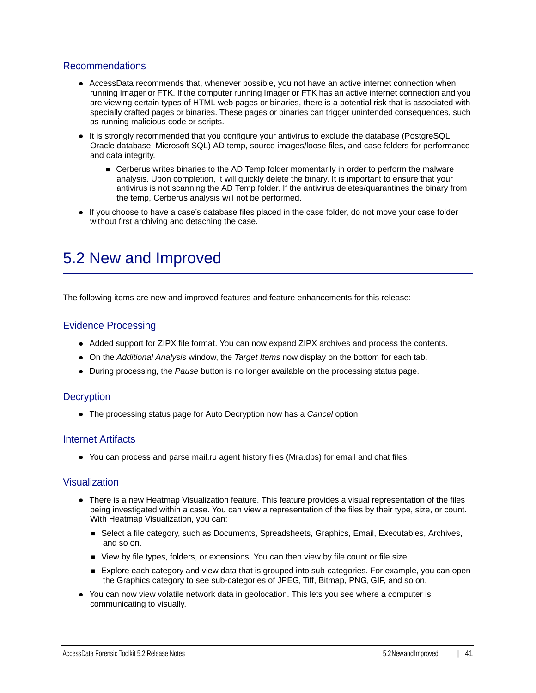#### Recommendations

- AccessData recommends that, whenever possible, you not have an active internet connection when running Imager or FTK. If the computer running Imager or FTK has an active internet connection and you are viewing certain types of HTML web pages or binaries, there is a potential risk that is associated with specially crafted pages or binaries. These pages or binaries can trigger unintended consequences, such as running malicious code or scripts.
- It is strongly recommended that you configure your antivirus to exclude the database (PostgreSQL, Oracle database, Microsoft SQL) AD temp, source images/loose files, and case folders for performance and data integrity.
	- **EXEC** Cerberus writes binaries to the AD Temp folder momentarily in order to perform the malware analysis. Upon completion, it will quickly delete the binary. It is important to ensure that your antivirus is not scanning the AD Temp folder. If the antivirus deletes/quarantines the binary from the temp, Cerberus analysis will not be performed.
- If you choose to have a case's database files placed in the case folder, do not move your case folder without first archiving and detaching the case.

### <span id="page-40-0"></span>5.2 New and Improved

The following items are new and improved features and feature enhancements for this release:

#### Evidence Processing

- Added support for ZIPX file format. You can now expand ZIPX archives and process the contents.
- On the *Additional Analysis* window, the *Target Items* now display on the bottom for each tab.
- During processing, the *Pause* button is no longer available on the processing status page.

#### **Decryption**

The processing status page for Auto Decryption now has a *Cancel* option.

#### Internet Artifacts

You can process and parse mail.ru agent history files (Mra.dbs) for email and chat files.

#### Visualization

- There is a new Heatmap Visualization feature. This feature provides a visual representation of the files being investigated within a case. You can view a representation of the files by their type, size, or count. With Heatmap Visualization, you can:
	- Select a file category, such as Documents, Spreadsheets, Graphics, Email, Executables, Archives, and so on.
	- View by file types, folders, or extensions. You can then view by file count or file size.
	- **Explore each category and view data that is grouped into sub-categories. For example, you can open** the Graphics category to see sub-categories of JPEG, Tiff, Bitmap, PNG, GIF, and so on.
- You can now view volatile network data in geolocation. This lets you see where a computer is communicating to visually.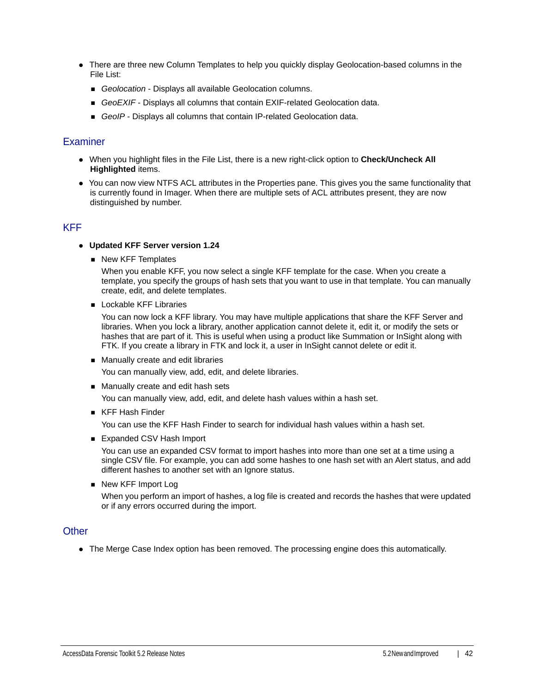- There are three new Column Templates to help you quickly display Geolocation-based columns in the File List:
	- *Geolocation* Displays all available Geolocation columns.
	- **GeoEXIF** Displays all columns that contain EXIF-related Geolocation data.
	- *GeoIP* Displays all columns that contain IP-related Geolocation data.

#### **Examiner**

- When you highlight files in the File List, there is a new right-click option to **Check/Uncheck All Highlighted** items.
- You can now view NTFS ACL attributes in the Properties pane. This gives you the same functionality that is currently found in Imager. When there are multiple sets of ACL attributes present, they are now distinguished by number.

### KFF

- **Updated KFF Server version 1.24**
	- New KFF Templates

When you enable KFF, you now select a single KFF template for the case. When you create a template, you specify the groups of hash sets that you want to use in that template. You can manually create, edit, and delete templates.

**Lockable KFF Libraries** 

You can now lock a KFF library. You may have multiple applications that share the KFF Server and libraries. When you lock a library, another application cannot delete it, edit it, or modify the sets or hashes that are part of it. This is useful when using a product like Summation or InSight along with FTK. If you create a library in FTK and lock it, a user in InSight cannot delete or edit it.

- **Manually create and edit libraries** You can manually view, add, edit, and delete libraries.
- Manually create and edit hash sets

You can manually view, add, edit, and delete hash values within a hash set.

■ KFF Hash Finder

You can use the KFF Hash Finder to search for individual hash values within a hash set.

■ Expanded CSV Hash Import

You can use an expanded CSV format to import hashes into more than one set at a time using a single CSV file. For example, you can add some hashes to one hash set with an Alert status, and add different hashes to another set with an Ignore status.

■ New KFF Import Log

When you perform an import of hashes, a log file is created and records the hashes that were updated or if any errors occurred during the import.

### **Other**

The Merge Case Index option has been removed. The processing engine does this automatically.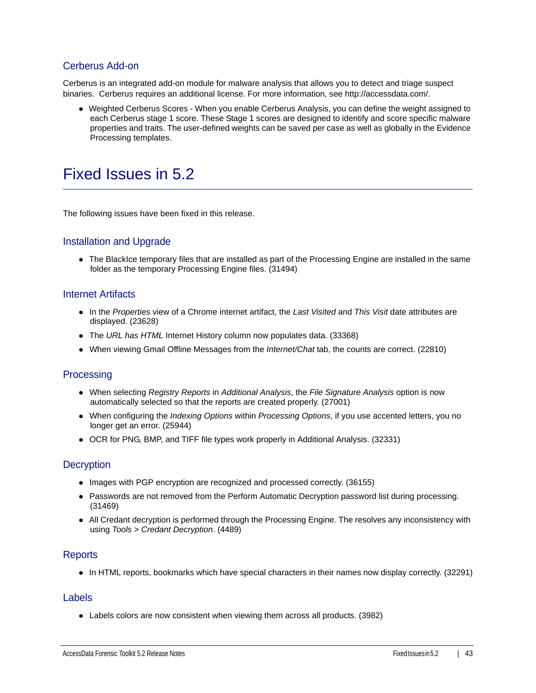### Cerberus Add-on

Cerberus is an integrated add-on module for malware analysis that allows you to detect and triage suspect binaries. Cerberus requires an additional license. For more information, see http://accessdata.com/.

Weighted Cerberus Scores - When you enable Cerberus Analysis, you can define the weight assigned to each Cerberus stage 1 score. These Stage 1 scores are designed to identify and score specific malware properties and traits. The user-defined weights can be saved per case as well as globally in the Evidence Processing templates.

### <span id="page-42-0"></span>Fixed Issues in 5.2

The following issues have been fixed in this release.

### Installation and Upgrade

The BlackIce temporary files that are installed as part of the Processing Engine are installed in the same folder as the temporary Processing Engine files. (31494)

#### Internet Artifacts

- In the *Properties* view of a Chrome internet artifact, the *Last Visited* and *This Visit* date attributes are displayed. (23628)
- The *URL has HTML* Internet History column now populates data. (33368)
- When viewing Gmail Offline Messages from the *Internet/Chat* tab, the counts are correct. (22810)

### **Processing**

- When selecting *Registry Reports* in *Additional Analysis*, the *File Signature Analysis* option is now automatically selected so that the reports are created properly. (27001)
- When configuring the *Indexing Options* within *Processing Options*, if you use accented letters, you no longer get an error. (25944)
- OCR for PNG, BMP, and TIFF file types work properly in Additional Analysis. (32331)

### **Decryption**

- Images with PGP encryption are recognized and processed correctly. (36155)
- Passwords are not removed from the Perform Automatic Decryption password list during processing. (31469)
- All Credant decryption is performed through the Processing Engine. The resolves any inconsistency with using *Tools > Credant Decryption*. (4489)

#### **Reports**

• In HTML reports, bookmarks which have special characters in their names now display correctly. (32291)

#### Labels

Labels colors are now consistent when viewing them across all products. (3982)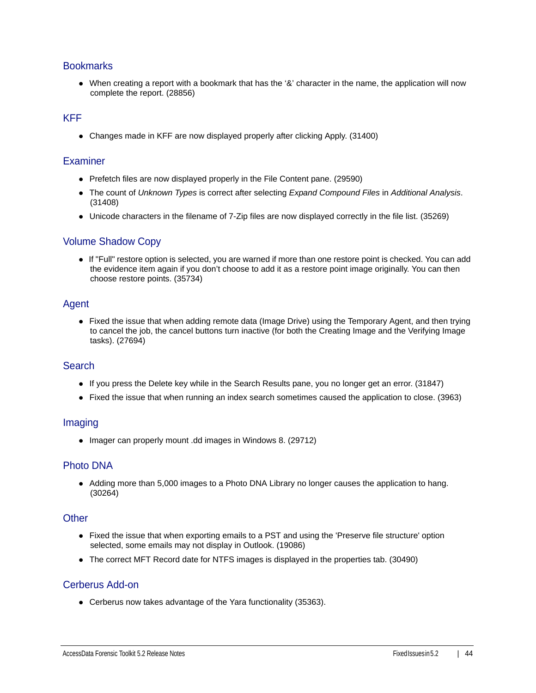#### **Bookmarks**

When creating a report with a bookmark that has the '&' character in the name, the application will now complete the report. (28856)

### KFF

Changes made in KFF are now displayed properly after clicking Apply. (31400)

#### **Examiner**

- Prefetch files are now displayed properly in the File Content pane. (29590)
- The count of *Unknown Types* is correct after selecting *Expand Compound Files* in *Additional Analysis*. (31408)
- Unicode characters in the filename of 7-Zip files are now displayed correctly in the file list. (35269)

#### Volume Shadow Copy

If "Full" restore option is selected, you are warned if more than one restore point is checked. You can add the evidence item again if you don't choose to add it as a restore point image originally. You can then choose restore points. (35734)

#### Agent

• Fixed the issue that when adding remote data (Image Drive) using the Temporary Agent, and then trying to cancel the job, the cancel buttons turn inactive (for both the Creating Image and the Verifying Image tasks). (27694)

#### **Search**

- If you press the Delete key while in the Search Results pane, you no longer get an error. (31847)
- Fixed the issue that when running an index search sometimes caused the application to close. (3963)

#### Imaging

• Imager can properly mount .dd images in Windows 8. (29712)

### Photo DNA

Adding more than 5,000 images to a Photo DNA Library no longer causes the application to hang. (30264)

#### **Other**

- Fixed the issue that when exporting emails to a PST and using the 'Preserve file structure' option selected, some emails may not display in Outlook. (19086)
- The correct MFT Record date for NTFS images is displayed in the properties tab. (30490)

### Cerberus Add-on

Cerberus now takes advantage of the Yara functionality (35363).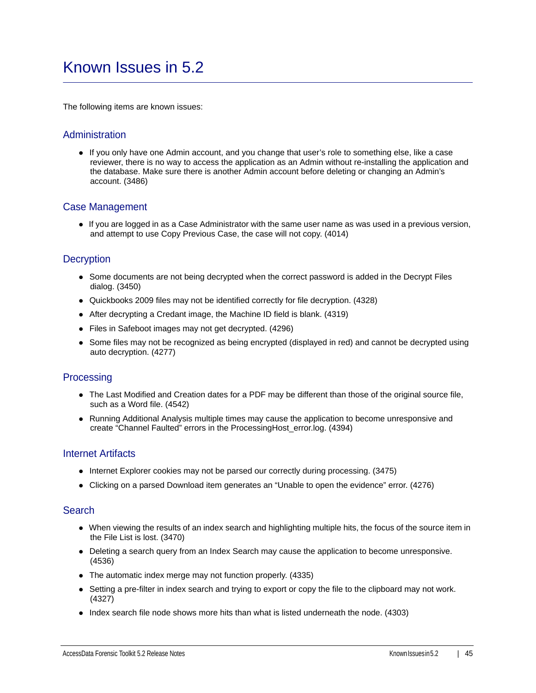### <span id="page-44-0"></span>Known Issues in 5.2

The following items are known issues:

#### Administration

If you only have one Admin account, and you change that user's role to something else, like a case reviewer, there is no way to access the application as an Admin without re-installing the application and the database. Make sure there is another Admin account before deleting or changing an Admin's account. (3486)

#### Case Management

If you are logged in as a Case Administrator with the same user name as was used in a previous version, and attempt to use Copy Previous Case, the case will not copy. (4014)

#### **Decryption**

- Some documents are not being decrypted when the correct password is added in the Decrypt Files dialog. (3450)
- Quickbooks 2009 files may not be identified correctly for file decryption. (4328)
- After decrypting a Credant image, the Machine ID field is blank. (4319)
- Files in Safeboot images may not get decrypted. (4296)
- Some files may not be recognized as being encrypted (displayed in red) and cannot be decrypted using auto decryption. (4277)

#### **Processing**

- The Last Modified and Creation dates for a PDF may be different than those of the original source file, such as a Word file. (4542)
- Running Additional Analysis multiple times may cause the application to become unresponsive and create "Channel Faulted" errors in the ProcessingHost\_error.log. (4394)

#### Internet Artifacts

- Internet Explorer cookies may not be parsed our correctly during processing. (3475)
- Clicking on a parsed Download item generates an "Unable to open the evidence" error. (4276)

#### **Search**

- When viewing the results of an index search and highlighting multiple hits, the focus of the source item in the File List is lost. (3470)
- Deleting a search query from an Index Search may cause the application to become unresponsive. (4536)
- The automatic index merge may not function properly. (4335)
- Setting a pre-filter in index search and trying to export or copy the file to the clipboard may not work. (4327)
- Index search file node shows more hits than what is listed underneath the node. (4303)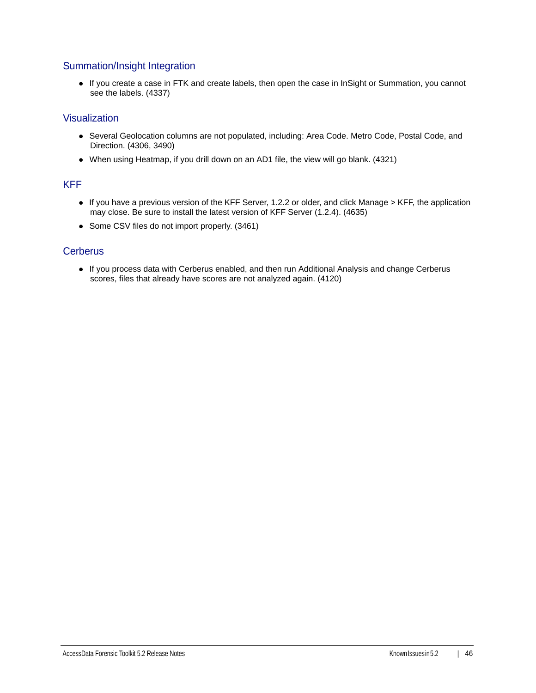### Summation/Insight Integration

If you create a case in FTK and create labels, then open the case in InSight or Summation, you cannot see the labels. (4337)

### Visualization

- Several Geolocation columns are not populated, including: Area Code. Metro Code, Postal Code, and Direction. (4306, 3490)
- When using Heatmap, if you drill down on an AD1 file, the view will go blank. (4321)

#### KFF

- If you have a previous version of the KFF Server, 1.2.2 or older, and click Manage > KFF, the application may close. Be sure to install the latest version of KFF Server (1.2.4). (4635)
- Some CSV files do not import properly. (3461)

### **Cerberus**

If you process data with Cerberus enabled, and then run Additional Analysis and change Cerberus scores, files that already have scores are not analyzed again. (4120)